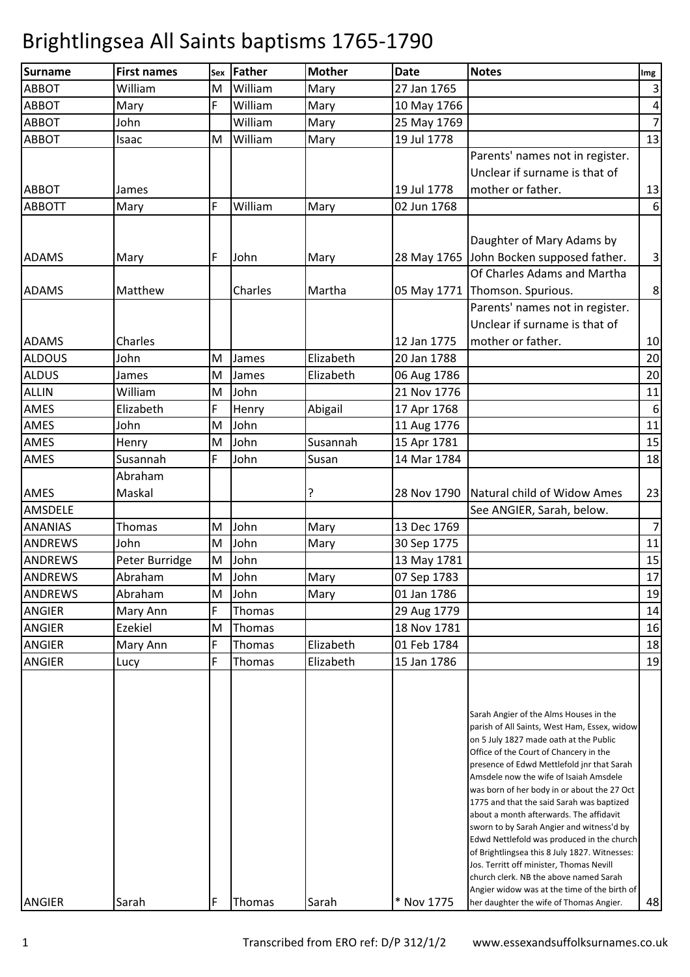| <b>Surname</b> | <b>First names</b> | Sex | <b>Father</b> | <b>Mother</b> | <b>Date</b> | <b>Notes</b>                                                                              | Img                     |
|----------------|--------------------|-----|---------------|---------------|-------------|-------------------------------------------------------------------------------------------|-------------------------|
| <b>ABBOT</b>   | William            | M   | William       | Mary          | 27 Jan 1765 |                                                                                           | $\overline{\mathbf{3}}$ |
| <b>ABBOT</b>   | Mary               | F   | William       | Mary          | 10 May 1766 |                                                                                           | $\overline{4}$          |
| <b>ABBOT</b>   | John               |     | William       | Mary          | 25 May 1769 |                                                                                           | $\overline{7}$          |
| <b>ABBOT</b>   | Isaac              | M   | William       | Mary          | 19 Jul 1778 |                                                                                           | 13                      |
|                |                    |     |               |               |             | Parents' names not in register.                                                           |                         |
|                |                    |     |               |               |             | Unclear if surname is that of                                                             |                         |
| <b>ABBOT</b>   | James              |     |               |               | 19 Jul 1778 | mother or father.                                                                         | 13                      |
| <b>ABBOTT</b>  | Mary               | F   | William       | Mary          | 02 Jun 1768 |                                                                                           | 6                       |
|                |                    |     |               |               |             |                                                                                           |                         |
|                |                    |     |               |               |             | Daughter of Mary Adams by                                                                 |                         |
| <b>ADAMS</b>   | Mary               | F   | John          | Mary          |             | 28 May 1765 John Bocken supposed father.                                                  | $\overline{\mathbf{3}}$ |
|                |                    |     |               |               |             | Of Charles Adams and Martha                                                               |                         |
| <b>ADAMS</b>   | Matthew            |     | Charles       | Martha        |             | 05 May 1771 Thomson. Spurious.                                                            | $\boldsymbol{8}$        |
|                |                    |     |               |               |             | Parents' names not in register.                                                           |                         |
|                |                    |     |               |               |             | Unclear if surname is that of                                                             |                         |
| <b>ADAMS</b>   | Charles            |     |               |               | 12 Jan 1775 | mother or father.                                                                         | 10                      |
| <b>ALDOUS</b>  | John               | M   | James         | Elizabeth     | 20 Jan 1788 |                                                                                           | 20                      |
| <b>ALDUS</b>   | James              | M   | James         | Elizabeth     | 06 Aug 1786 |                                                                                           | 20                      |
| <b>ALLIN</b>   | William            | M   | John          |               | 21 Nov 1776 |                                                                                           | 11                      |
| AMES           | Elizabeth          | F   | Henry         | Abigail       | 17 Apr 1768 |                                                                                           | $\boldsymbol{6}$        |
| AMES           | John               | M   | John          |               | 11 Aug 1776 |                                                                                           | 11                      |
| AMES           | Henry              | M   | John          | Susannah      | 15 Apr 1781 |                                                                                           | 15                      |
| AMES           | Susannah           | F   | John          | Susan         | 14 Mar 1784 |                                                                                           | 18                      |
|                | Abraham            |     |               |               |             |                                                                                           |                         |
| <b>AMES</b>    | Maskal             |     |               | ç.            |             | 28 Nov 1790 Natural child of Widow Ames                                                   | 23                      |
| AMSDELE        |                    |     |               |               |             | See ANGIER, Sarah, below.                                                                 |                         |
| <b>ANANIAS</b> | Thomas             | M   | John          | Mary          | 13 Dec 1769 |                                                                                           | $\overline{7}$          |
| <b>ANDREWS</b> | John               | M   | John          | Mary          | 30 Sep 1775 |                                                                                           | 11                      |
| <b>ANDREWS</b> | Peter Burridge     | M   | John          |               | 13 May 1781 |                                                                                           | 15                      |
| <b>ANDREWS</b> | Abraham            |     | M John        | Mary          | 07 Sep 1783 |                                                                                           | $17\,$                  |
| <b>ANDREWS</b> | Abraham            | M   | John          | Mary          | 01 Jan 1786 |                                                                                           | 19                      |
| <b>ANGIER</b>  | Mary Ann           | F   | Thomas        |               | 29 Aug 1779 |                                                                                           | 14                      |
| <b>ANGIER</b>  | Ezekiel            | M   | Thomas        |               | 18 Nov 1781 |                                                                                           | 16                      |
| <b>ANGIER</b>  | Mary Ann           | F   | Thomas        | Elizabeth     | 01 Feb 1784 |                                                                                           | 18                      |
| <b>ANGIER</b>  | Lucy               | F   | Thomas        | Elizabeth     | 15 Jan 1786 |                                                                                           | 19                      |
|                |                    |     |               |               |             |                                                                                           |                         |
|                |                    |     |               |               |             | Sarah Angier of the Alms Houses in the                                                    |                         |
|                |                    |     |               |               |             | parish of All Saints, West Ham, Essex, widow                                              |                         |
|                |                    |     |               |               |             | on 5 July 1827 made oath at the Public                                                    |                         |
|                |                    |     |               |               |             | Office of the Court of Chancery in the<br>presence of Edwd Mettlefold jnr that Sarah      |                         |
|                |                    |     |               |               |             | Amsdele now the wife of Isaiah Amsdele                                                    |                         |
|                |                    |     |               |               |             | was born of her body in or about the 27 Oct                                               |                         |
|                |                    |     |               |               |             | 1775 and that the said Sarah was baptized<br>about a month afterwards. The affidavit      |                         |
|                |                    |     |               |               |             | sworn to by Sarah Angier and witness'd by                                                 |                         |
|                |                    |     |               |               |             | Edwd Nettlefold was produced in the church                                                |                         |
|                |                    |     |               |               |             | of Brightlingsea this 8 July 1827. Witnesses:<br>Jos. Territt off minister, Thomas Nevill |                         |
|                |                    |     |               |               |             | church clerk. NB the above named Sarah                                                    |                         |
|                |                    |     |               |               |             | Angier widow was at the time of the birth of                                              |                         |
| <b>ANGIER</b>  | Sarah              | F   | Thomas        | Sarah         | * Nov 1775  | her daughter the wife of Thomas Angier.                                                   | 48                      |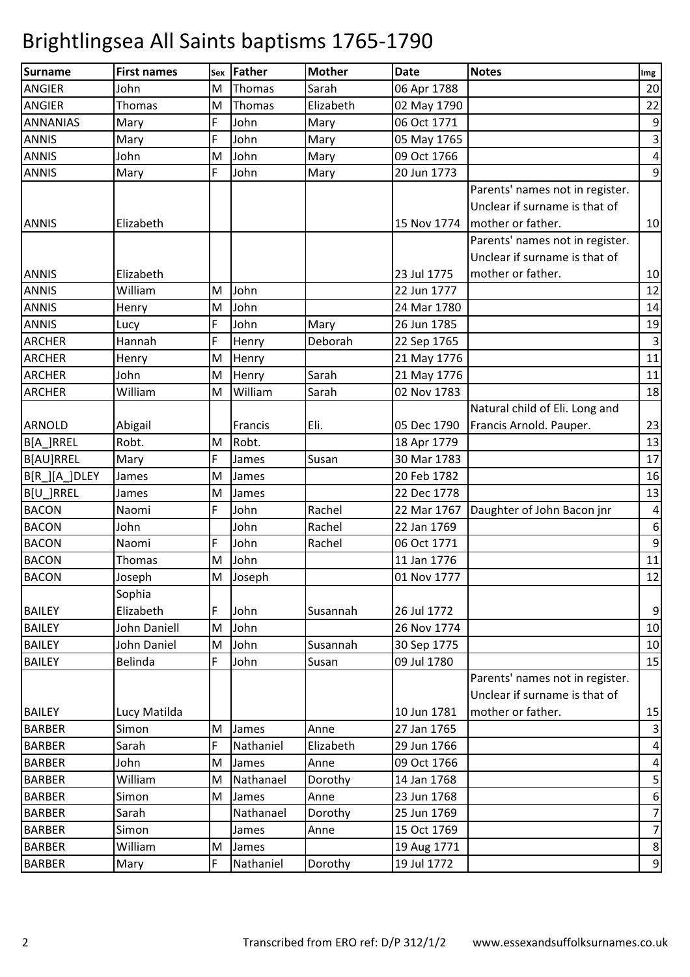| <b>Surname</b>  | <b>First names</b> | Sex | Father    | <b>Mother</b> | <b>Date</b> | <b>Notes</b>                    | Img                       |
|-----------------|--------------------|-----|-----------|---------------|-------------|---------------------------------|---------------------------|
| <b>ANGIER</b>   | John               | M   | Thomas    | Sarah         | 06 Apr 1788 |                                 | 20                        |
| <b>ANGIER</b>   | Thomas             | M   | Thomas    | Elizabeth     | 02 May 1790 |                                 | 22                        |
| <b>ANNANIAS</b> | Mary               | F   | John      | Mary          | 06 Oct 1771 |                                 | 9                         |
| <b>ANNIS</b>    | Mary               | F   | John      | Mary          | 05 May 1765 |                                 | 3                         |
| <b>ANNIS</b>    | John               | M   | John      | Mary          | 09 Oct 1766 |                                 | $\overline{\mathbf{r}}$   |
| <b>ANNIS</b>    | Mary               | F   | John      | Mary          | 20 Jun 1773 |                                 | 9                         |
|                 |                    |     |           |               |             | Parents' names not in register. |                           |
|                 |                    |     |           |               |             | Unclear if surname is that of   |                           |
| <b>ANNIS</b>    | Elizabeth          |     |           |               | 15 Nov 1774 | mother or father.               | 10                        |
|                 |                    |     |           |               |             | Parents' names not in register. |                           |
|                 |                    |     |           |               |             | Unclear if surname is that of   |                           |
| <b>ANNIS</b>    | Elizabeth          |     |           |               | 23 Jul 1775 | mother or father.               | 10                        |
| <b>ANNIS</b>    | William            | M   | John      |               | 22 Jun 1777 |                                 | 12                        |
| <b>ANNIS</b>    | Henry              | M   | John      |               | 24 Mar 1780 |                                 | 14                        |
| <b>ANNIS</b>    | Lucy               | F   | John      | Mary          | 26 Jun 1785 |                                 | 19                        |
| <b>ARCHER</b>   | Hannah             | F   | Henry     | Deborah       | 22 Sep 1765 |                                 | $\ensuremath{\mathsf{3}}$ |
| <b>ARCHER</b>   | Henry              | M   | Henry     |               | 21 May 1776 |                                 | 11                        |
| <b>ARCHER</b>   | John               | M   | Henry     | Sarah         | 21 May 1776 |                                 | 11                        |
| <b>ARCHER</b>   | William            | M   | William   | Sarah         | 02 Nov 1783 |                                 | 18                        |
|                 |                    |     |           |               |             | Natural child of Eli. Long and  |                           |
| <b>ARNOLD</b>   | Abigail            |     | Francis   | Eli.          | 05 Dec 1790 | Francis Arnold. Pauper.         | 23                        |
| B[A_]RREL       | Robt.              | M   | Robt.     |               | 18 Apr 1779 |                                 | 13                        |
| B[AU]RREL       | Mary               | F   | James     | Susan         | 30 Mar 1783 |                                 | 17                        |
| B[R_][A_]DLEY   | James              | M   | James     |               | 20 Feb 1782 |                                 | 16                        |
| B[U_]RREL       | James              | M   | James     |               | 22 Dec 1778 |                                 | 13                        |
| <b>BACON</b>    | Naomi              | F   | John      | Rachel        | 22 Mar 1767 | Daughter of John Bacon jnr      | $\overline{\mathbf{4}}$   |
| <b>BACON</b>    | John               |     | John      | Rachel        | 22 Jan 1769 |                                 | 6                         |
| <b>BACON</b>    | Naomi              | F   | John      | Rachel        | 06 Oct 1771 |                                 | $\boldsymbol{9}$          |
| <b>BACON</b>    | Thomas             | M   | John      |               | 11 Jan 1776 |                                 | 11                        |
| <b>BACON</b>    | Joseph             | M   | Joseph    |               | 01 Nov 1777 |                                 | 12                        |
|                 | Sophia             |     |           |               |             |                                 |                           |
| <b>BAILEY</b>   | Elizabeth          | F   | John      | Susannah      | 26 Jul 1772 |                                 | 9                         |
| <b>BAILEY</b>   | John Daniell       | M   | John      |               | 26 Nov 1774 |                                 | 10                        |
| <b>BAILEY</b>   | John Daniel        | M   | John      | Susannah      | 30 Sep 1775 |                                 | 10                        |
| <b>BAILEY</b>   | Belinda            | F   | John      | Susan         | 09 Jul 1780 |                                 | 15                        |
|                 |                    |     |           |               |             | Parents' names not in register. |                           |
|                 |                    |     |           |               |             | Unclear if surname is that of   |                           |
| <b>BAILEY</b>   | Lucy Matilda       |     |           |               | 10 Jun 1781 | mother or father.               | 15                        |
| <b>BARBER</b>   | Simon              | M   | James     | Anne          | 27 Jan 1765 |                                 | $\mathbf{3}$              |
| <b>BARBER</b>   | Sarah              | F   | Nathaniel | Elizabeth     | 29 Jun 1766 |                                 | $\overline{\mathbf{4}}$   |
| <b>BARBER</b>   | John               | M   | James     | Anne          | 09 Oct 1766 |                                 | 4                         |
| <b>BARBER</b>   | William            | M   | Nathanael | Dorothy       | 14 Jan 1768 |                                 | 5                         |
| <b>BARBER</b>   | Simon              | M   | James     | Anne          | 23 Jun 1768 |                                 | 6                         |
| <b>BARBER</b>   | Sarah              |     | Nathanael | Dorothy       | 25 Jun 1769 |                                 | 7                         |
| <b>BARBER</b>   | Simon              |     | James     | Anne          | 15 Oct 1769 |                                 | $\overline{7}$            |
| <b>BARBER</b>   | William            | M   | James     |               | 19 Aug 1771 |                                 | $\bf 8$                   |
| <b>BARBER</b>   | Mary               | F   | Nathaniel | Dorothy       | 19 Jul 1772 |                                 | 9                         |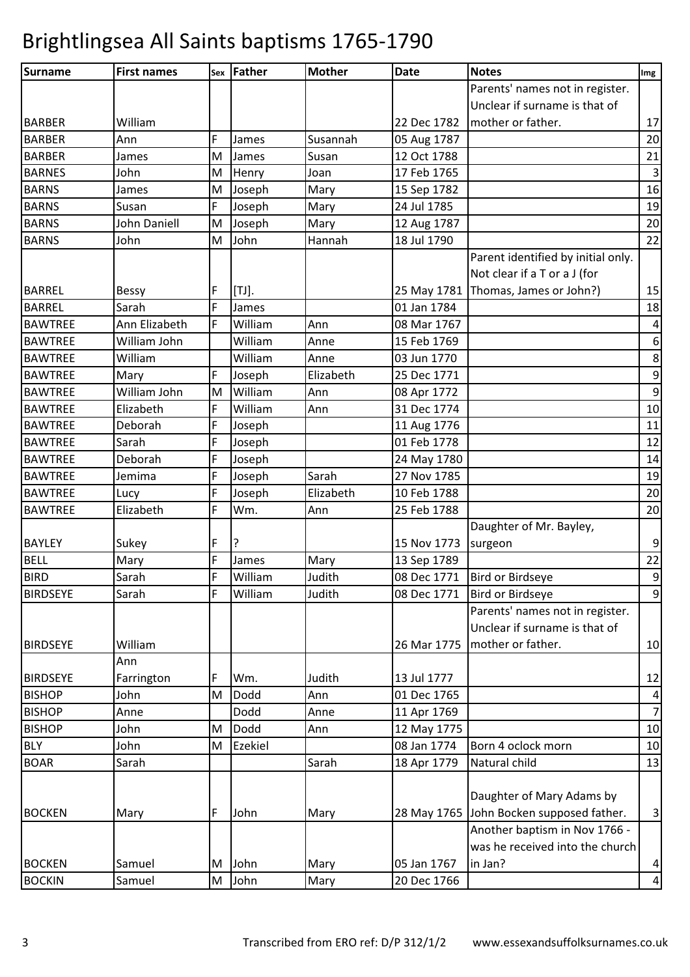| <b>Surname</b>  | <b>First names</b>  | Sex | <b>Father</b> | <b>Mother</b> | <b>Date</b> | <b>Notes</b>                        | Img              |
|-----------------|---------------------|-----|---------------|---------------|-------------|-------------------------------------|------------------|
|                 |                     |     |               |               |             | Parents' names not in register.     |                  |
|                 |                     |     |               |               |             | Unclear if surname is that of       |                  |
| <b>BARBER</b>   | William             |     |               |               | 22 Dec 1782 | mother or father.                   | 17               |
| <b>BARBER</b>   | Ann                 | F   | James         | Susannah      | 05 Aug 1787 |                                     | 20               |
| <b>BARBER</b>   | James               | M   | James         | Susan         | 12 Oct 1788 |                                     | 21               |
| <b>BARNES</b>   | John                | M   | Henry         | Joan          | 17 Feb 1765 |                                     | $\mathbf{3}$     |
| <b>BARNS</b>    | James               | M   | Joseph        | Mary          | 15 Sep 1782 |                                     | 16               |
| <b>BARNS</b>    | Susan               | F   | Joseph        | Mary          | 24 Jul 1785 |                                     | 19               |
| <b>BARNS</b>    | <b>John Daniell</b> | M   | Joseph        | Mary          | 12 Aug 1787 |                                     | 20               |
| <b>BARNS</b>    | John                | M   | John          | Hannah        | 18 Jul 1790 |                                     | 22               |
|                 |                     |     |               |               |             | Parent identified by initial only.  |                  |
|                 |                     |     |               |               |             | Not clear if a T or a J (for        |                  |
| <b>BARREL</b>   | <b>Bessy</b>        | F   | $[TJ]$ .      |               |             | 25 May 1781 Thomas, James or John?) | 15               |
| <b>BARREL</b>   | Sarah               | F   | James         |               | 01 Jan 1784 |                                     | 18               |
| <b>BAWTREE</b>  | Ann Elizabeth       | F   | William       | Ann           | 08 Mar 1767 |                                     | $\pmb{4}$        |
| <b>BAWTREE</b>  | William John        |     | William       | Anne          | 15 Feb 1769 |                                     | $\boldsymbol{6}$ |
| <b>BAWTREE</b>  | William             |     | William       | Anne          | 03 Jun 1770 |                                     | $\bf 8$          |
| <b>BAWTREE</b>  | Mary                | F   | Joseph        | Elizabeth     | 25 Dec 1771 |                                     | $\boldsymbol{9}$ |
| <b>BAWTREE</b>  | William John        | M   | William       | Ann           | 08 Apr 1772 |                                     | $\boldsymbol{9}$ |
| <b>BAWTREE</b>  | Elizabeth           | F   | William       | Ann           | 31 Dec 1774 |                                     | 10               |
| <b>BAWTREE</b>  | Deborah             | F   | Joseph        |               | 11 Aug 1776 |                                     | 11               |
| <b>BAWTREE</b>  | Sarah               | F   | Joseph        |               | 01 Feb 1778 |                                     | 12               |
| <b>BAWTREE</b>  | Deborah             | F   | Joseph        |               | 24 May 1780 |                                     | 14               |
| <b>BAWTREE</b>  | Jemima              | F   | Joseph        | Sarah         | 27 Nov 1785 |                                     | 19               |
| <b>BAWTREE</b>  | Lucy                | F   | Joseph        | Elizabeth     | 10 Feb 1788 |                                     | 20               |
| <b>BAWTREE</b>  | Elizabeth           | F   | Wm.           | Ann           | 25 Feb 1788 |                                     | 20               |
|                 |                     |     |               |               |             | Daughter of Mr. Bayley,             |                  |
| <b>BAYLEY</b>   | Sukey               | F   | ?             |               | 15 Nov 1773 | surgeon                             | 9                |
| <b>BELL</b>     | Mary                | F   | James         | Mary          | 13 Sep 1789 |                                     | 22               |
| <b>BIRD</b>     | Sarah               | F   | William       | Judith        |             | 08 Dec 1771   Bird or Birdseye      | $\overline{9}$   |
| <b>BIRDSEYE</b> | Sarah               | F   | William       | Judith        | 08 Dec 1771 | <b>Bird or Birdseye</b>             | $\overline{9}$   |
|                 |                     |     |               |               |             | Parents' names not in register.     |                  |
|                 |                     |     |               |               |             | Unclear if surname is that of       |                  |
| <b>BIRDSEYE</b> | William             |     |               |               | 26 Mar 1775 | mother or father.                   | 10               |
|                 | Ann                 |     |               |               |             |                                     |                  |
| <b>BIRDSEYE</b> | Farrington          | F   | Wm.           | Judith        | 13 Jul 1777 |                                     | 12               |
| <b>BISHOP</b>   | John                | M   | Dodd          | Ann           | 01 Dec 1765 |                                     | $\overline{a}$   |
| <b>BISHOP</b>   | Anne                |     | Dodd          | Anne          | 11 Apr 1769 |                                     | $\overline{7}$   |
| <b>BISHOP</b>   | John                | M   | Dodd          | Ann           | 12 May 1775 |                                     | 10               |
| <b>BLY</b>      | John                | M   | Ezekiel       |               | 08 Jan 1774 | Born 4 oclock morn                  | 10               |
| <b>BOAR</b>     | Sarah               |     |               | Sarah         | 18 Apr 1779 | Natural child                       | 13               |
|                 |                     |     |               |               |             |                                     |                  |
|                 |                     |     |               |               |             | Daughter of Mary Adams by           |                  |
| <b>BOCKEN</b>   | Mary                | F   | John          | Mary          | 28 May 1765 | John Bocken supposed father.        | $\mathbf{3}$     |
|                 |                     |     |               |               |             | Another baptism in Nov 1766 -       |                  |
|                 |                     |     |               |               |             | was he received into the church     |                  |
| <b>BOCKEN</b>   | Samuel              | M   | John          | Mary          | 05 Jan 1767 | in Jan?                             | $\overline{a}$   |
| <b>BOCKIN</b>   | Samuel              | M   | John          | Mary          | 20 Dec 1766 |                                     | $\pmb{4}$        |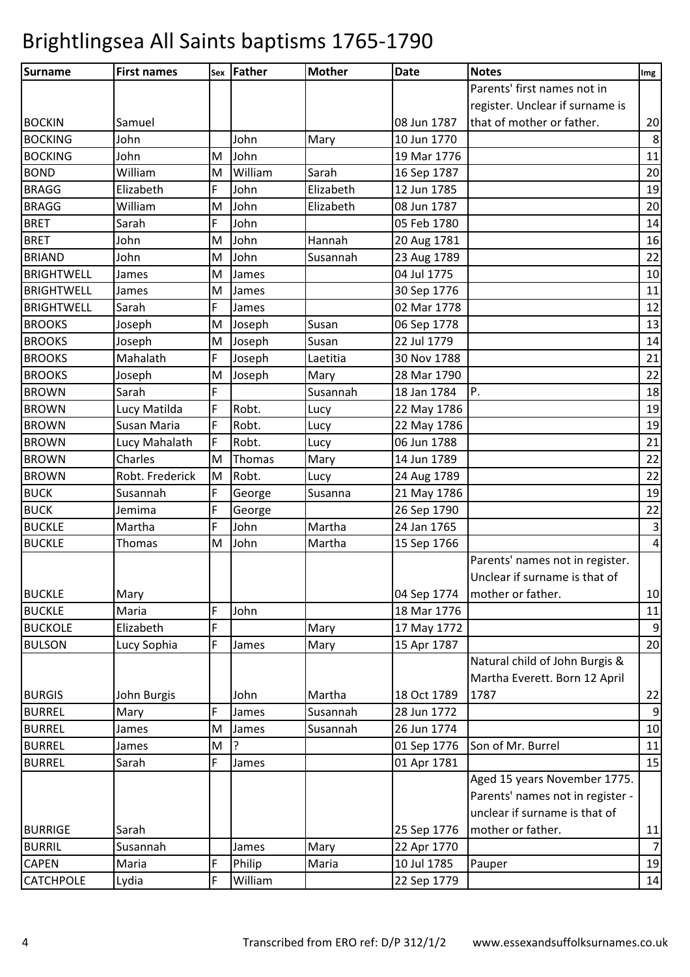| Parents' first names not in<br>register. Unclear if surname is<br>that of mother or father.<br>08 Jun 1787<br>Samuel<br>John<br>John<br>10 Jun 1770<br><b>BOCKING</b><br>Mary<br>John<br><b>BOCKING</b><br>John<br>19 Mar 1776<br>M<br>William<br><b>BOND</b><br>William<br>M<br>Sarah<br>16 Sep 1787<br>F<br><b>BRAGG</b><br>John<br>Elizabeth<br>Elizabeth<br>12 Jun 1785<br>John<br><b>BRAGG</b><br>William<br>Elizabeth<br>08 Jun 1787<br>M<br>F<br><b>BRET</b><br>Sarah<br>John<br>05 Feb 1780<br>John<br><b>BRET</b><br>John<br>M<br>Hannah<br>20 Aug 1781<br><b>BRIAND</b><br>John<br>M<br>John<br>Susannah<br>23 Aug 1789<br>04 Jul 1775<br><b>BRIGHTWELL</b><br>M<br>James<br>James<br><b>BRIGHTWELL</b><br>M<br>30 Sep 1776<br>11<br>James<br>James<br>F<br><b>BRIGHTWELL</b><br>02 Mar 1778<br>Sarah<br>James<br>06 Sep 1778<br><b>BROOKS</b><br>M<br>Susan<br>Joseph<br>Joseph<br>22 Jul 1779<br><b>BROOKS</b><br>M<br>Joseph<br>Susan<br>Joseph<br>F<br><b>BROOKS</b><br>Mahalath<br>30 Nov 1788<br>21<br>Joseph<br>Laetitia<br><b>BROOKS</b><br>28 Mar 1790<br>M<br>Joseph<br>Mary<br>Joseph<br>F<br>P.<br><b>BROWN</b><br>Sarah<br>Susannah<br>18 Jan 1784<br>F<br>Robt.<br><b>BROWN</b><br>Lucy Matilda<br>22 May 1786<br>Lucy<br>F<br><b>BROWN</b><br>Susan Maria<br>Robt.<br>22 May 1786<br>Lucy<br>F<br>Robt.<br>06 Jun 1788<br><b>BROWN</b><br>Lucy Mahalath<br>Lucy<br>14 Jun 1789<br><b>BROWN</b><br>Charles<br>M<br>Thomas<br>Mary<br>Robt. Frederick<br>Robt.<br><b>BROWN</b><br>M<br>24 Aug 1789<br>Lucy<br><b>BUCK</b><br>F<br>21 May 1786<br>Susannah<br>George<br>Susanna<br>F<br><b>BUCK</b><br>Jemima<br>26 Sep 1790<br>George<br>F<br>John<br>Martha<br>24 Jan 1765<br><b>BUCKLE</b><br>Martha<br>John<br>M<br>Martha<br>15 Sep 1766<br>Thomas<br>Parents' names not in register.<br>Unclear if surname is that of<br>Mary<br>04 Sep 1774<br>mother or father.<br><b>BUCKLE</b><br>F<br>Maria<br>John<br>18 Mar 1776<br>F<br><b>BUCKOLE</b><br>Elizabeth<br>17 May 1772<br>Mary<br>F<br>15 Apr 1787<br><b>BULSON</b><br>Lucy Sophia<br>Mary<br>James<br>Natural child of John Burgis &<br>Martha Everett. Born 12 April<br><b>BURGIS</b><br>John Burgis<br>John<br>Martha<br>18 Oct 1789<br>1787<br>F<br><b>BURREL</b><br>Mary<br>Susannah<br>28 Jun 1772<br>James<br><b>BURREL</b><br>M<br>26 Jun 1774<br>James<br>Susannah<br>James<br><b>BURREL</b><br>?<br>01 Sep 1776<br>Son of Mr. Burrel<br>M<br>James<br>F<br><b>BURREL</b><br>Sarah<br>01 Apr 1781<br>James<br>Aged 15 years November 1775.<br>Parents' names not in register -<br>unclear if surname is that of<br>mother or father.<br>25 Sep 1776<br><b>BURRIGE</b><br>Sarah<br>Susannah<br>22 Apr 1770<br><b>BURRIL</b><br>Mary<br>James<br>F<br>Philip<br>10 Jul 1785<br><b>CAPEN</b><br>Maria<br>Maria<br>Pauper<br>F | Surname          | <b>First names</b> | sex   Father | <b>Mother</b> | <b>Date</b> | <b>Notes</b> | Img |
|---------------------------------------------------------------------------------------------------------------------------------------------------------------------------------------------------------------------------------------------------------------------------------------------------------------------------------------------------------------------------------------------------------------------------------------------------------------------------------------------------------------------------------------------------------------------------------------------------------------------------------------------------------------------------------------------------------------------------------------------------------------------------------------------------------------------------------------------------------------------------------------------------------------------------------------------------------------------------------------------------------------------------------------------------------------------------------------------------------------------------------------------------------------------------------------------------------------------------------------------------------------------------------------------------------------------------------------------------------------------------------------------------------------------------------------------------------------------------------------------------------------------------------------------------------------------------------------------------------------------------------------------------------------------------------------------------------------------------------------------------------------------------------------------------------------------------------------------------------------------------------------------------------------------------------------------------------------------------------------------------------------------------------------------------------------------------------------------------------------------------------------------------------------------------------------------------------------------------------------------------------------------------------------------------------------------------------------------------------------------------------------------------------------------------------------------------------------------------------------------------------------------------------------------------------------------------------------------------------------------------------------------------------------------------------------------------------------------------------------------------------------------------------------------------------------------|------------------|--------------------|--------------|---------------|-------------|--------------|-----|
| 11<br>16<br>21<br>11<br>15<br>11                                                                                                                                                                                                                                                                                                                                                                                                                                                                                                                                                                                                                                                                                                                                                                                                                                                                                                                                                                                                                                                                                                                                                                                                                                                                                                                                                                                                                                                                                                                                                                                                                                                                                                                                                                                                                                                                                                                                                                                                                                                                                                                                                                                                                                                                                                                                                                                                                                                                                                                                                                                                                                                                                                                                                                                    |                  |                    |              |               |             |              |     |
|                                                                                                                                                                                                                                                                                                                                                                                                                                                                                                                                                                                                                                                                                                                                                                                                                                                                                                                                                                                                                                                                                                                                                                                                                                                                                                                                                                                                                                                                                                                                                                                                                                                                                                                                                                                                                                                                                                                                                                                                                                                                                                                                                                                                                                                                                                                                                                                                                                                                                                                                                                                                                                                                                                                                                                                                                     |                  |                    |              |               |             |              |     |
|                                                                                                                                                                                                                                                                                                                                                                                                                                                                                                                                                                                                                                                                                                                                                                                                                                                                                                                                                                                                                                                                                                                                                                                                                                                                                                                                                                                                                                                                                                                                                                                                                                                                                                                                                                                                                                                                                                                                                                                                                                                                                                                                                                                                                                                                                                                                                                                                                                                                                                                                                                                                                                                                                                                                                                                                                     | <b>BOCKIN</b>    |                    |              |               |             |              | 20  |
| 20<br>19<br>20<br>14<br>22<br>10<br>12<br>13<br>14<br>22<br>18<br>19<br>19<br>22<br>22<br>19<br>22<br>$\overline{3}$<br>$\sqrt{4}$<br>10<br>$\mathsf 9$<br>20<br>22<br>$\boldsymbol{9}$<br>10<br>11<br>$\overline{7}$<br>19                                                                                                                                                                                                                                                                                                                                                                                                                                                                                                                                                                                                                                                                                                                                                                                                                                                                                                                                                                                                                                                                                                                                                                                                                                                                                                                                                                                                                                                                                                                                                                                                                                                                                                                                                                                                                                                                                                                                                                                                                                                                                                                                                                                                                                                                                                                                                                                                                                                                                                                                                                                         |                  |                    |              |               |             |              | 8   |
|                                                                                                                                                                                                                                                                                                                                                                                                                                                                                                                                                                                                                                                                                                                                                                                                                                                                                                                                                                                                                                                                                                                                                                                                                                                                                                                                                                                                                                                                                                                                                                                                                                                                                                                                                                                                                                                                                                                                                                                                                                                                                                                                                                                                                                                                                                                                                                                                                                                                                                                                                                                                                                                                                                                                                                                                                     |                  |                    |              |               |             |              |     |
|                                                                                                                                                                                                                                                                                                                                                                                                                                                                                                                                                                                                                                                                                                                                                                                                                                                                                                                                                                                                                                                                                                                                                                                                                                                                                                                                                                                                                                                                                                                                                                                                                                                                                                                                                                                                                                                                                                                                                                                                                                                                                                                                                                                                                                                                                                                                                                                                                                                                                                                                                                                                                                                                                                                                                                                                                     |                  |                    |              |               |             |              |     |
|                                                                                                                                                                                                                                                                                                                                                                                                                                                                                                                                                                                                                                                                                                                                                                                                                                                                                                                                                                                                                                                                                                                                                                                                                                                                                                                                                                                                                                                                                                                                                                                                                                                                                                                                                                                                                                                                                                                                                                                                                                                                                                                                                                                                                                                                                                                                                                                                                                                                                                                                                                                                                                                                                                                                                                                                                     |                  |                    |              |               |             |              |     |
|                                                                                                                                                                                                                                                                                                                                                                                                                                                                                                                                                                                                                                                                                                                                                                                                                                                                                                                                                                                                                                                                                                                                                                                                                                                                                                                                                                                                                                                                                                                                                                                                                                                                                                                                                                                                                                                                                                                                                                                                                                                                                                                                                                                                                                                                                                                                                                                                                                                                                                                                                                                                                                                                                                                                                                                                                     |                  |                    |              |               |             |              |     |
|                                                                                                                                                                                                                                                                                                                                                                                                                                                                                                                                                                                                                                                                                                                                                                                                                                                                                                                                                                                                                                                                                                                                                                                                                                                                                                                                                                                                                                                                                                                                                                                                                                                                                                                                                                                                                                                                                                                                                                                                                                                                                                                                                                                                                                                                                                                                                                                                                                                                                                                                                                                                                                                                                                                                                                                                                     |                  |                    |              |               |             |              |     |
|                                                                                                                                                                                                                                                                                                                                                                                                                                                                                                                                                                                                                                                                                                                                                                                                                                                                                                                                                                                                                                                                                                                                                                                                                                                                                                                                                                                                                                                                                                                                                                                                                                                                                                                                                                                                                                                                                                                                                                                                                                                                                                                                                                                                                                                                                                                                                                                                                                                                                                                                                                                                                                                                                                                                                                                                                     |                  |                    |              |               |             |              |     |
|                                                                                                                                                                                                                                                                                                                                                                                                                                                                                                                                                                                                                                                                                                                                                                                                                                                                                                                                                                                                                                                                                                                                                                                                                                                                                                                                                                                                                                                                                                                                                                                                                                                                                                                                                                                                                                                                                                                                                                                                                                                                                                                                                                                                                                                                                                                                                                                                                                                                                                                                                                                                                                                                                                                                                                                                                     |                  |                    |              |               |             |              |     |
|                                                                                                                                                                                                                                                                                                                                                                                                                                                                                                                                                                                                                                                                                                                                                                                                                                                                                                                                                                                                                                                                                                                                                                                                                                                                                                                                                                                                                                                                                                                                                                                                                                                                                                                                                                                                                                                                                                                                                                                                                                                                                                                                                                                                                                                                                                                                                                                                                                                                                                                                                                                                                                                                                                                                                                                                                     |                  |                    |              |               |             |              |     |
|                                                                                                                                                                                                                                                                                                                                                                                                                                                                                                                                                                                                                                                                                                                                                                                                                                                                                                                                                                                                                                                                                                                                                                                                                                                                                                                                                                                                                                                                                                                                                                                                                                                                                                                                                                                                                                                                                                                                                                                                                                                                                                                                                                                                                                                                                                                                                                                                                                                                                                                                                                                                                                                                                                                                                                                                                     |                  |                    |              |               |             |              |     |
|                                                                                                                                                                                                                                                                                                                                                                                                                                                                                                                                                                                                                                                                                                                                                                                                                                                                                                                                                                                                                                                                                                                                                                                                                                                                                                                                                                                                                                                                                                                                                                                                                                                                                                                                                                                                                                                                                                                                                                                                                                                                                                                                                                                                                                                                                                                                                                                                                                                                                                                                                                                                                                                                                                                                                                                                                     |                  |                    |              |               |             |              |     |
|                                                                                                                                                                                                                                                                                                                                                                                                                                                                                                                                                                                                                                                                                                                                                                                                                                                                                                                                                                                                                                                                                                                                                                                                                                                                                                                                                                                                                                                                                                                                                                                                                                                                                                                                                                                                                                                                                                                                                                                                                                                                                                                                                                                                                                                                                                                                                                                                                                                                                                                                                                                                                                                                                                                                                                                                                     |                  |                    |              |               |             |              |     |
|                                                                                                                                                                                                                                                                                                                                                                                                                                                                                                                                                                                                                                                                                                                                                                                                                                                                                                                                                                                                                                                                                                                                                                                                                                                                                                                                                                                                                                                                                                                                                                                                                                                                                                                                                                                                                                                                                                                                                                                                                                                                                                                                                                                                                                                                                                                                                                                                                                                                                                                                                                                                                                                                                                                                                                                                                     |                  |                    |              |               |             |              |     |
|                                                                                                                                                                                                                                                                                                                                                                                                                                                                                                                                                                                                                                                                                                                                                                                                                                                                                                                                                                                                                                                                                                                                                                                                                                                                                                                                                                                                                                                                                                                                                                                                                                                                                                                                                                                                                                                                                                                                                                                                                                                                                                                                                                                                                                                                                                                                                                                                                                                                                                                                                                                                                                                                                                                                                                                                                     |                  |                    |              |               |             |              |     |
|                                                                                                                                                                                                                                                                                                                                                                                                                                                                                                                                                                                                                                                                                                                                                                                                                                                                                                                                                                                                                                                                                                                                                                                                                                                                                                                                                                                                                                                                                                                                                                                                                                                                                                                                                                                                                                                                                                                                                                                                                                                                                                                                                                                                                                                                                                                                                                                                                                                                                                                                                                                                                                                                                                                                                                                                                     |                  |                    |              |               |             |              |     |
|                                                                                                                                                                                                                                                                                                                                                                                                                                                                                                                                                                                                                                                                                                                                                                                                                                                                                                                                                                                                                                                                                                                                                                                                                                                                                                                                                                                                                                                                                                                                                                                                                                                                                                                                                                                                                                                                                                                                                                                                                                                                                                                                                                                                                                                                                                                                                                                                                                                                                                                                                                                                                                                                                                                                                                                                                     |                  |                    |              |               |             |              |     |
|                                                                                                                                                                                                                                                                                                                                                                                                                                                                                                                                                                                                                                                                                                                                                                                                                                                                                                                                                                                                                                                                                                                                                                                                                                                                                                                                                                                                                                                                                                                                                                                                                                                                                                                                                                                                                                                                                                                                                                                                                                                                                                                                                                                                                                                                                                                                                                                                                                                                                                                                                                                                                                                                                                                                                                                                                     |                  |                    |              |               |             |              |     |
|                                                                                                                                                                                                                                                                                                                                                                                                                                                                                                                                                                                                                                                                                                                                                                                                                                                                                                                                                                                                                                                                                                                                                                                                                                                                                                                                                                                                                                                                                                                                                                                                                                                                                                                                                                                                                                                                                                                                                                                                                                                                                                                                                                                                                                                                                                                                                                                                                                                                                                                                                                                                                                                                                                                                                                                                                     |                  |                    |              |               |             |              |     |
|                                                                                                                                                                                                                                                                                                                                                                                                                                                                                                                                                                                                                                                                                                                                                                                                                                                                                                                                                                                                                                                                                                                                                                                                                                                                                                                                                                                                                                                                                                                                                                                                                                                                                                                                                                                                                                                                                                                                                                                                                                                                                                                                                                                                                                                                                                                                                                                                                                                                                                                                                                                                                                                                                                                                                                                                                     |                  |                    |              |               |             |              |     |
|                                                                                                                                                                                                                                                                                                                                                                                                                                                                                                                                                                                                                                                                                                                                                                                                                                                                                                                                                                                                                                                                                                                                                                                                                                                                                                                                                                                                                                                                                                                                                                                                                                                                                                                                                                                                                                                                                                                                                                                                                                                                                                                                                                                                                                                                                                                                                                                                                                                                                                                                                                                                                                                                                                                                                                                                                     |                  |                    |              |               |             |              |     |
|                                                                                                                                                                                                                                                                                                                                                                                                                                                                                                                                                                                                                                                                                                                                                                                                                                                                                                                                                                                                                                                                                                                                                                                                                                                                                                                                                                                                                                                                                                                                                                                                                                                                                                                                                                                                                                                                                                                                                                                                                                                                                                                                                                                                                                                                                                                                                                                                                                                                                                                                                                                                                                                                                                                                                                                                                     |                  |                    |              |               |             |              |     |
|                                                                                                                                                                                                                                                                                                                                                                                                                                                                                                                                                                                                                                                                                                                                                                                                                                                                                                                                                                                                                                                                                                                                                                                                                                                                                                                                                                                                                                                                                                                                                                                                                                                                                                                                                                                                                                                                                                                                                                                                                                                                                                                                                                                                                                                                                                                                                                                                                                                                                                                                                                                                                                                                                                                                                                                                                     |                  |                    |              |               |             |              |     |
|                                                                                                                                                                                                                                                                                                                                                                                                                                                                                                                                                                                                                                                                                                                                                                                                                                                                                                                                                                                                                                                                                                                                                                                                                                                                                                                                                                                                                                                                                                                                                                                                                                                                                                                                                                                                                                                                                                                                                                                                                                                                                                                                                                                                                                                                                                                                                                                                                                                                                                                                                                                                                                                                                                                                                                                                                     |                  |                    |              |               |             |              |     |
|                                                                                                                                                                                                                                                                                                                                                                                                                                                                                                                                                                                                                                                                                                                                                                                                                                                                                                                                                                                                                                                                                                                                                                                                                                                                                                                                                                                                                                                                                                                                                                                                                                                                                                                                                                                                                                                                                                                                                                                                                                                                                                                                                                                                                                                                                                                                                                                                                                                                                                                                                                                                                                                                                                                                                                                                                     |                  |                    |              |               |             |              |     |
|                                                                                                                                                                                                                                                                                                                                                                                                                                                                                                                                                                                                                                                                                                                                                                                                                                                                                                                                                                                                                                                                                                                                                                                                                                                                                                                                                                                                                                                                                                                                                                                                                                                                                                                                                                                                                                                                                                                                                                                                                                                                                                                                                                                                                                                                                                                                                                                                                                                                                                                                                                                                                                                                                                                                                                                                                     | <b>BUCKLE</b>    |                    |              |               |             |              |     |
|                                                                                                                                                                                                                                                                                                                                                                                                                                                                                                                                                                                                                                                                                                                                                                                                                                                                                                                                                                                                                                                                                                                                                                                                                                                                                                                                                                                                                                                                                                                                                                                                                                                                                                                                                                                                                                                                                                                                                                                                                                                                                                                                                                                                                                                                                                                                                                                                                                                                                                                                                                                                                                                                                                                                                                                                                     |                  |                    |              |               |             |              |     |
|                                                                                                                                                                                                                                                                                                                                                                                                                                                                                                                                                                                                                                                                                                                                                                                                                                                                                                                                                                                                                                                                                                                                                                                                                                                                                                                                                                                                                                                                                                                                                                                                                                                                                                                                                                                                                                                                                                                                                                                                                                                                                                                                                                                                                                                                                                                                                                                                                                                                                                                                                                                                                                                                                                                                                                                                                     |                  |                    |              |               |             |              |     |
|                                                                                                                                                                                                                                                                                                                                                                                                                                                                                                                                                                                                                                                                                                                                                                                                                                                                                                                                                                                                                                                                                                                                                                                                                                                                                                                                                                                                                                                                                                                                                                                                                                                                                                                                                                                                                                                                                                                                                                                                                                                                                                                                                                                                                                                                                                                                                                                                                                                                                                                                                                                                                                                                                                                                                                                                                     | <b>BUCKLE</b>    |                    |              |               |             |              |     |
|                                                                                                                                                                                                                                                                                                                                                                                                                                                                                                                                                                                                                                                                                                                                                                                                                                                                                                                                                                                                                                                                                                                                                                                                                                                                                                                                                                                                                                                                                                                                                                                                                                                                                                                                                                                                                                                                                                                                                                                                                                                                                                                                                                                                                                                                                                                                                                                                                                                                                                                                                                                                                                                                                                                                                                                                                     |                  |                    |              |               |             |              |     |
|                                                                                                                                                                                                                                                                                                                                                                                                                                                                                                                                                                                                                                                                                                                                                                                                                                                                                                                                                                                                                                                                                                                                                                                                                                                                                                                                                                                                                                                                                                                                                                                                                                                                                                                                                                                                                                                                                                                                                                                                                                                                                                                                                                                                                                                                                                                                                                                                                                                                                                                                                                                                                                                                                                                                                                                                                     |                  |                    |              |               |             |              |     |
|                                                                                                                                                                                                                                                                                                                                                                                                                                                                                                                                                                                                                                                                                                                                                                                                                                                                                                                                                                                                                                                                                                                                                                                                                                                                                                                                                                                                                                                                                                                                                                                                                                                                                                                                                                                                                                                                                                                                                                                                                                                                                                                                                                                                                                                                                                                                                                                                                                                                                                                                                                                                                                                                                                                                                                                                                     |                  |                    |              |               |             |              |     |
|                                                                                                                                                                                                                                                                                                                                                                                                                                                                                                                                                                                                                                                                                                                                                                                                                                                                                                                                                                                                                                                                                                                                                                                                                                                                                                                                                                                                                                                                                                                                                                                                                                                                                                                                                                                                                                                                                                                                                                                                                                                                                                                                                                                                                                                                                                                                                                                                                                                                                                                                                                                                                                                                                                                                                                                                                     |                  |                    |              |               |             |              |     |
|                                                                                                                                                                                                                                                                                                                                                                                                                                                                                                                                                                                                                                                                                                                                                                                                                                                                                                                                                                                                                                                                                                                                                                                                                                                                                                                                                                                                                                                                                                                                                                                                                                                                                                                                                                                                                                                                                                                                                                                                                                                                                                                                                                                                                                                                                                                                                                                                                                                                                                                                                                                                                                                                                                                                                                                                                     |                  |                    |              |               |             |              |     |
|                                                                                                                                                                                                                                                                                                                                                                                                                                                                                                                                                                                                                                                                                                                                                                                                                                                                                                                                                                                                                                                                                                                                                                                                                                                                                                                                                                                                                                                                                                                                                                                                                                                                                                                                                                                                                                                                                                                                                                                                                                                                                                                                                                                                                                                                                                                                                                                                                                                                                                                                                                                                                                                                                                                                                                                                                     |                  |                    |              |               |             |              |     |
|                                                                                                                                                                                                                                                                                                                                                                                                                                                                                                                                                                                                                                                                                                                                                                                                                                                                                                                                                                                                                                                                                                                                                                                                                                                                                                                                                                                                                                                                                                                                                                                                                                                                                                                                                                                                                                                                                                                                                                                                                                                                                                                                                                                                                                                                                                                                                                                                                                                                                                                                                                                                                                                                                                                                                                                                                     |                  |                    |              |               |             |              |     |
|                                                                                                                                                                                                                                                                                                                                                                                                                                                                                                                                                                                                                                                                                                                                                                                                                                                                                                                                                                                                                                                                                                                                                                                                                                                                                                                                                                                                                                                                                                                                                                                                                                                                                                                                                                                                                                                                                                                                                                                                                                                                                                                                                                                                                                                                                                                                                                                                                                                                                                                                                                                                                                                                                                                                                                                                                     |                  |                    |              |               |             |              |     |
|                                                                                                                                                                                                                                                                                                                                                                                                                                                                                                                                                                                                                                                                                                                                                                                                                                                                                                                                                                                                                                                                                                                                                                                                                                                                                                                                                                                                                                                                                                                                                                                                                                                                                                                                                                                                                                                                                                                                                                                                                                                                                                                                                                                                                                                                                                                                                                                                                                                                                                                                                                                                                                                                                                                                                                                                                     |                  |                    |              |               |             |              |     |
|                                                                                                                                                                                                                                                                                                                                                                                                                                                                                                                                                                                                                                                                                                                                                                                                                                                                                                                                                                                                                                                                                                                                                                                                                                                                                                                                                                                                                                                                                                                                                                                                                                                                                                                                                                                                                                                                                                                                                                                                                                                                                                                                                                                                                                                                                                                                                                                                                                                                                                                                                                                                                                                                                                                                                                                                                     |                  |                    |              |               |             |              |     |
|                                                                                                                                                                                                                                                                                                                                                                                                                                                                                                                                                                                                                                                                                                                                                                                                                                                                                                                                                                                                                                                                                                                                                                                                                                                                                                                                                                                                                                                                                                                                                                                                                                                                                                                                                                                                                                                                                                                                                                                                                                                                                                                                                                                                                                                                                                                                                                                                                                                                                                                                                                                                                                                                                                                                                                                                                     |                  |                    |              |               |             |              |     |
|                                                                                                                                                                                                                                                                                                                                                                                                                                                                                                                                                                                                                                                                                                                                                                                                                                                                                                                                                                                                                                                                                                                                                                                                                                                                                                                                                                                                                                                                                                                                                                                                                                                                                                                                                                                                                                                                                                                                                                                                                                                                                                                                                                                                                                                                                                                                                                                                                                                                                                                                                                                                                                                                                                                                                                                                                     |                  |                    |              |               |             |              |     |
|                                                                                                                                                                                                                                                                                                                                                                                                                                                                                                                                                                                                                                                                                                                                                                                                                                                                                                                                                                                                                                                                                                                                                                                                                                                                                                                                                                                                                                                                                                                                                                                                                                                                                                                                                                                                                                                                                                                                                                                                                                                                                                                                                                                                                                                                                                                                                                                                                                                                                                                                                                                                                                                                                                                                                                                                                     |                  |                    |              |               |             |              |     |
|                                                                                                                                                                                                                                                                                                                                                                                                                                                                                                                                                                                                                                                                                                                                                                                                                                                                                                                                                                                                                                                                                                                                                                                                                                                                                                                                                                                                                                                                                                                                                                                                                                                                                                                                                                                                                                                                                                                                                                                                                                                                                                                                                                                                                                                                                                                                                                                                                                                                                                                                                                                                                                                                                                                                                                                                                     |                  |                    |              |               |             |              |     |
|                                                                                                                                                                                                                                                                                                                                                                                                                                                                                                                                                                                                                                                                                                                                                                                                                                                                                                                                                                                                                                                                                                                                                                                                                                                                                                                                                                                                                                                                                                                                                                                                                                                                                                                                                                                                                                                                                                                                                                                                                                                                                                                                                                                                                                                                                                                                                                                                                                                                                                                                                                                                                                                                                                                                                                                                                     |                  |                    |              |               |             |              |     |
|                                                                                                                                                                                                                                                                                                                                                                                                                                                                                                                                                                                                                                                                                                                                                                                                                                                                                                                                                                                                                                                                                                                                                                                                                                                                                                                                                                                                                                                                                                                                                                                                                                                                                                                                                                                                                                                                                                                                                                                                                                                                                                                                                                                                                                                                                                                                                                                                                                                                                                                                                                                                                                                                                                                                                                                                                     |                  |                    |              |               |             |              |     |
|                                                                                                                                                                                                                                                                                                                                                                                                                                                                                                                                                                                                                                                                                                                                                                                                                                                                                                                                                                                                                                                                                                                                                                                                                                                                                                                                                                                                                                                                                                                                                                                                                                                                                                                                                                                                                                                                                                                                                                                                                                                                                                                                                                                                                                                                                                                                                                                                                                                                                                                                                                                                                                                                                                                                                                                                                     | <b>CATCHPOLE</b> | Lydia              | William      |               | 22 Sep 1779 |              | 14  |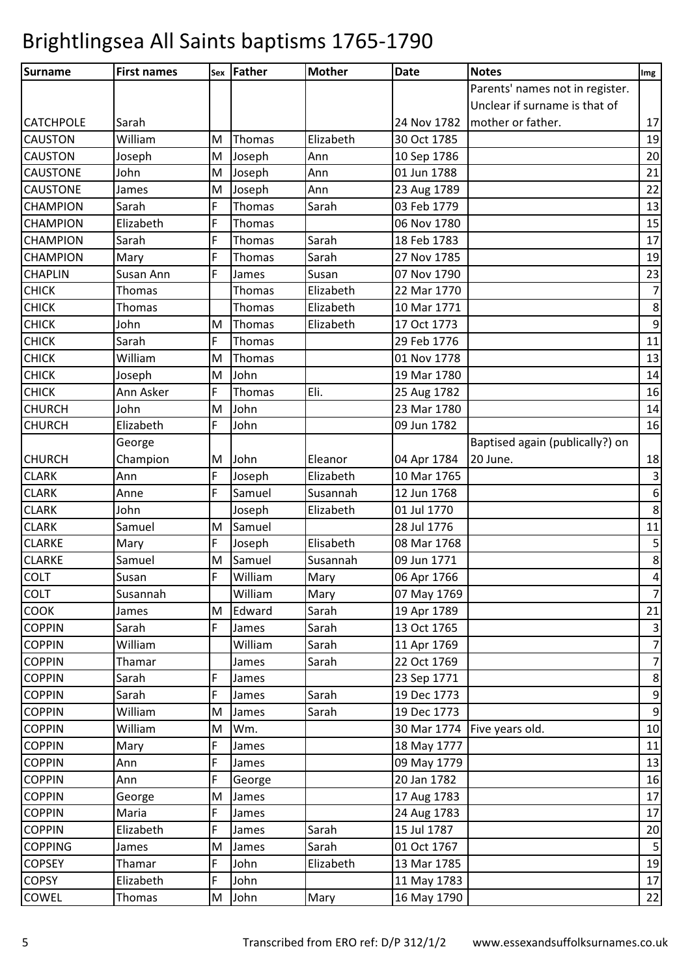| Surname          | <b>First names</b> |   | sex   Father | <b>Mother</b> | <b>Date</b> | <b>Notes</b>                    | Img              |
|------------------|--------------------|---|--------------|---------------|-------------|---------------------------------|------------------|
|                  |                    |   |              |               |             | Parents' names not in register. |                  |
|                  |                    |   |              |               |             | Unclear if surname is that of   |                  |
| <b>CATCHPOLE</b> | Sarah              |   |              |               |             | 24 Nov 1782   mother or father. | 17               |
| <b>CAUSTON</b>   | William            | M | Thomas       | Elizabeth     | 30 Oct 1785 |                                 | 19               |
| <b>CAUSTON</b>   | Joseph             | M | Joseph       | Ann           | 10 Sep 1786 |                                 | 20               |
| <b>CAUSTONE</b>  | John               | M | Joseph       | Ann           | 01 Jun 1788 |                                 | 21               |
| <b>CAUSTONE</b>  | James              | M | Joseph       | Ann           | 23 Aug 1789 |                                 | 22               |
| <b>CHAMPION</b>  | Sarah              | F | Thomas       | Sarah         | 03 Feb 1779 |                                 | 13               |
| <b>CHAMPION</b>  | Elizabeth          | F | Thomas       |               | 06 Nov 1780 |                                 | 15               |
| <b>CHAMPION</b>  | Sarah              | F | Thomas       | Sarah         | 18 Feb 1783 |                                 | 17               |
| <b>CHAMPION</b>  | Mary               | F | Thomas       | Sarah         | 27 Nov 1785 |                                 | 19               |
| <b>CHAPLIN</b>   | Susan Ann          | F | James        | Susan         | 07 Nov 1790 |                                 | 23               |
| <b>CHICK</b>     | Thomas             |   | Thomas       | Elizabeth     | 22 Mar 1770 |                                 | $\overline{7}$   |
| <b>CHICK</b>     | Thomas             |   | Thomas       | Elizabeth     | 10 Mar 1771 |                                 | $\bf 8$          |
| <b>CHICK</b>     | John               | M | Thomas       | Elizabeth     | 17 Oct 1773 |                                 | $\mathsf 9$      |
| <b>CHICK</b>     | Sarah              | F | Thomas       |               | 29 Feb 1776 |                                 | 11               |
| <b>CHICK</b>     | William            | M | Thomas       |               | 01 Nov 1778 |                                 | 13               |
| <b>CHICK</b>     | Joseph             | M | John         |               | 19 Mar 1780 |                                 | 14               |
| <b>CHICK</b>     | Ann Asker          | F | Thomas       | Eli.          | 25 Aug 1782 |                                 | 16               |
| <b>CHURCH</b>    | John               | M | John         |               | 23 Mar 1780 |                                 | 14               |
| <b>CHURCH</b>    | Elizabeth          | F | John         |               | 09 Jun 1782 |                                 | 16               |
|                  | George             |   |              |               |             | Baptised again (publically?) on |                  |
| <b>CHURCH</b>    | Champion           | M | John         | Eleanor       | 04 Apr 1784 | 20 June.                        | 18               |
| <b>CLARK</b>     | Ann                | F | Joseph       | Elizabeth     | 10 Mar 1765 |                                 | $\overline{3}$   |
| <b>CLARK</b>     | Anne               | F | Samuel       | Susannah      | 12 Jun 1768 |                                 | $\,$ 6 $\,$      |
| <b>CLARK</b>     | John               |   | Joseph       | Elizabeth     | 01 Jul 1770 |                                 | $\bf 8$          |
| <b>CLARK</b>     | Samuel             | M | Samuel       |               | 28 Jul 1776 |                                 | 11               |
| <b>CLARKE</b>    | Mary               | F | Joseph       | Elisabeth     | 08 Mar 1768 |                                 | $\mathsf S$      |
| <b>CLARKE</b>    | Samuel             | M | Samuel       | Susannah      | 09 Jun 1771 |                                 | $\bf 8$          |
| <b>COLT</b>      | Susan              | F | William      | Mary          | 06 Apr 1766 |                                 | $\sqrt{4}$       |
| <b>COLT</b>      | Susannah           |   | William      | Mary          | 07 May 1769 |                                 | $\overline{7}$   |
| COOK             | James              | M | Edward       | Sarah         | 19 Apr 1789 |                                 | 21               |
| <b>COPPIN</b>    | Sarah              | F | James        | Sarah         | 13 Oct 1765 |                                 | $\mathbf{3}$     |
| <b>COPPIN</b>    | William            |   | William      | Sarah         | 11 Apr 1769 |                                 | $\overline{7}$   |
| <b>COPPIN</b>    | Thamar             |   | James        | Sarah         | 22 Oct 1769 |                                 | $\overline{7}$   |
| <b>COPPIN</b>    | Sarah              | F | James        |               | 23 Sep 1771 |                                 | $\bf 8$          |
| <b>COPPIN</b>    | Sarah              | F | James        | Sarah         | 19 Dec 1773 |                                 | $\boldsymbol{9}$ |
| <b>COPPIN</b>    | William            | M | James        | Sarah         | 19 Dec 1773 |                                 | $\mathsf 9$      |
| <b>COPPIN</b>    | William            | M | Wm.          |               |             | 30 Mar 1774   Five years old.   | 10               |
| <b>COPPIN</b>    | Mary               | F | James        |               | 18 May 1777 |                                 | 11               |
| <b>COPPIN</b>    | Ann                | F | James        |               | 09 May 1779 |                                 | 13               |
| <b>COPPIN</b>    | Ann                | F | George       |               | 20 Jan 1782 |                                 | 16               |
| <b>COPPIN</b>    | George             | M | James        |               | 17 Aug 1783 |                                 | 17               |
| <b>COPPIN</b>    | Maria              | F | James        |               | 24 Aug 1783 |                                 | 17               |
| <b>COPPIN</b>    | Elizabeth          | F | James        | Sarah         | 15 Jul 1787 |                                 | 20               |
| <b>COPPING</b>   | James              | M | James        | Sarah         | 01 Oct 1767 |                                 | 5                |
| <b>COPSEY</b>    | Thamar             | F | John         | Elizabeth     | 13 Mar 1785 |                                 | 19               |
| <b>COPSY</b>     | Elizabeth          | F | John         |               | 11 May 1783 |                                 | 17               |
| COWEL            | Thomas             | M | John         | Mary          | 16 May 1790 |                                 | 22               |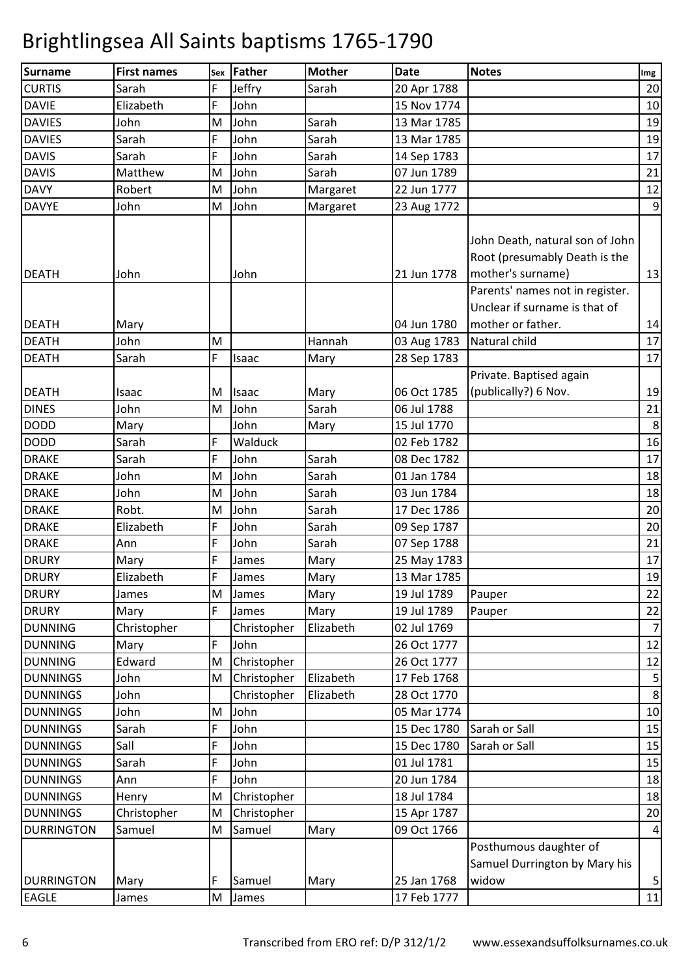| <b>Surname</b>    | <b>First names</b> | Sex | <b>Father</b> | <b>Mother</b> | <b>Date</b> | <b>Notes</b>                                                                                                             | Img              |
|-------------------|--------------------|-----|---------------|---------------|-------------|--------------------------------------------------------------------------------------------------------------------------|------------------|
| <b>CURTIS</b>     | Sarah              | F   | Jeffry        | Sarah         | 20 Apr 1788 |                                                                                                                          | 20               |
| <b>DAVIE</b>      | Elizabeth          | F   | John          |               | 15 Nov 1774 |                                                                                                                          | 10               |
| <b>DAVIES</b>     | John               | M   | John          | Sarah         | 13 Mar 1785 |                                                                                                                          | 19               |
| <b>DAVIES</b>     | Sarah              | F   | John          | Sarah         | 13 Mar 1785 |                                                                                                                          | 19               |
| <b>DAVIS</b>      | Sarah              | F   | John          | Sarah         | 14 Sep 1783 |                                                                                                                          | 17               |
| <b>DAVIS</b>      | Matthew            | M   | John          | Sarah         | 07 Jun 1789 |                                                                                                                          | 21               |
| <b>DAVY</b>       | Robert             | M   | John          | Margaret      | 22 Jun 1777 |                                                                                                                          | 12               |
| <b>DAVYE</b>      | John               | M   | John          | Margaret      | 23 Aug 1772 |                                                                                                                          | $\boldsymbol{9}$ |
| <b>DEATH</b>      | John               |     | John          |               | 21 Jun 1778 | John Death, natural son of John<br>Root (presumably Death is the<br>mother's surname)<br>Parents' names not in register. | 13               |
|                   |                    |     |               |               |             | Unclear if surname is that of                                                                                            |                  |
| <b>DEATH</b>      | Mary               |     |               |               | 04 Jun 1780 | mother or father.                                                                                                        | 14               |
| <b>DEATH</b>      | John               | M   |               | Hannah        | 03 Aug 1783 | Natural child                                                                                                            | 17               |
| <b>DEATH</b>      | Sarah              | F   | Isaac         | Mary          | 28 Sep 1783 |                                                                                                                          | 17               |
|                   |                    |     |               |               |             | Private. Baptised again                                                                                                  |                  |
| <b>DEATH</b>      | Isaac              | M   | Isaac         | Mary          | 06 Oct 1785 | (publically?) 6 Nov.                                                                                                     | 19               |
| <b>DINES</b>      | John               | M   | John          | Sarah         | 06 Jul 1788 |                                                                                                                          | 21               |
| <b>DODD</b>       | Mary               |     | John          | Mary          | 15 Jul 1770 |                                                                                                                          | 8                |
| <b>DODD</b>       | Sarah              | F   | Walduck       |               | 02 Feb 1782 |                                                                                                                          | 16               |
| <b>DRAKE</b>      | Sarah              | F   | John          | Sarah         | 08 Dec 1782 |                                                                                                                          | 17               |
| <b>DRAKE</b>      | John               | M   | John          | Sarah         | 01 Jan 1784 |                                                                                                                          | 18               |
| <b>DRAKE</b>      | John               | M   | John          | Sarah         | 03 Jun 1784 |                                                                                                                          | 18               |
| <b>DRAKE</b>      | Robt.              | M   | John          | Sarah         | 17 Dec 1786 |                                                                                                                          | 20               |
| <b>DRAKE</b>      | Elizabeth          | F   | John          | Sarah         | 09 Sep 1787 |                                                                                                                          | 20               |
| <b>DRAKE</b>      | Ann                | F   | John          | Sarah         | 07 Sep 1788 |                                                                                                                          | 21               |
| <b>DRURY</b>      | Mary               | F   | James         | Mary          | 25 May 1783 |                                                                                                                          | 17               |
| <b>DRURY</b>      | Elizabeth          | F   | James         | Mary          | 13 Mar 1785 |                                                                                                                          | 19               |
| <b>DRURY</b>      | James              | M   | James         | Mary          | 19 Jul 1789 | Pauper                                                                                                                   | 22               |
| <b>DRURY</b>      | Mary               | F   | James         | Mary          | 19 Jul 1789 | Pauper                                                                                                                   | 22               |
| <b>DUNNING</b>    | Christopher        |     | Christopher   | Elizabeth     | 02 Jul 1769 |                                                                                                                          | $\overline{7}$   |
| <b>DUNNING</b>    | Mary               | F   | John          |               | 26 Oct 1777 |                                                                                                                          | 12               |
| <b>DUNNING</b>    | Edward             | M   | Christopher   |               | 26 Oct 1777 |                                                                                                                          | 12               |
| <b>DUNNINGS</b>   | John               | M   | Christopher   | Elizabeth     | 17 Feb 1768 |                                                                                                                          | $\mathsf S$      |
| <b>DUNNINGS</b>   | John               |     | Christopher   | Elizabeth     | 28 Oct 1770 |                                                                                                                          | $\bf 8$          |
| <b>DUNNINGS</b>   | John               | M   | John          |               | 05 Mar 1774 |                                                                                                                          | 10               |
| <b>DUNNINGS</b>   | Sarah              | F   | John          |               | 15 Dec 1780 | Sarah or Sall                                                                                                            | 15               |
| <b>DUNNINGS</b>   | Sall               | F   | John          |               | 15 Dec 1780 | Sarah or Sall                                                                                                            | 15               |
| <b>DUNNINGS</b>   | Sarah              | F   | John          |               | 01 Jul 1781 |                                                                                                                          | 15               |
| <b>DUNNINGS</b>   | Ann                | F   | John          |               | 20 Jun 1784 |                                                                                                                          | 18               |
| <b>DUNNINGS</b>   | Henry              | M   | Christopher   |               | 18 Jul 1784 |                                                                                                                          | 18               |
| <b>DUNNINGS</b>   | Christopher        | M   | Christopher   |               | 15 Apr 1787 |                                                                                                                          | 20               |
| <b>DURRINGTON</b> | Samuel             | M   | Samuel        | Mary          | 09 Oct 1766 |                                                                                                                          | $\overline{a}$   |
|                   |                    |     |               |               |             | Posthumous daughter of                                                                                                   |                  |
|                   |                    |     |               |               |             | Samuel Durrington by Mary his                                                                                            |                  |
| <b>DURRINGTON</b> | Mary               | F   | Samuel        | Mary          | 25 Jan 1768 | widow                                                                                                                    | $\mathsf S$      |
| <b>EAGLE</b>      | James              |     | M James       |               | 17 Feb 1777 |                                                                                                                          | 11               |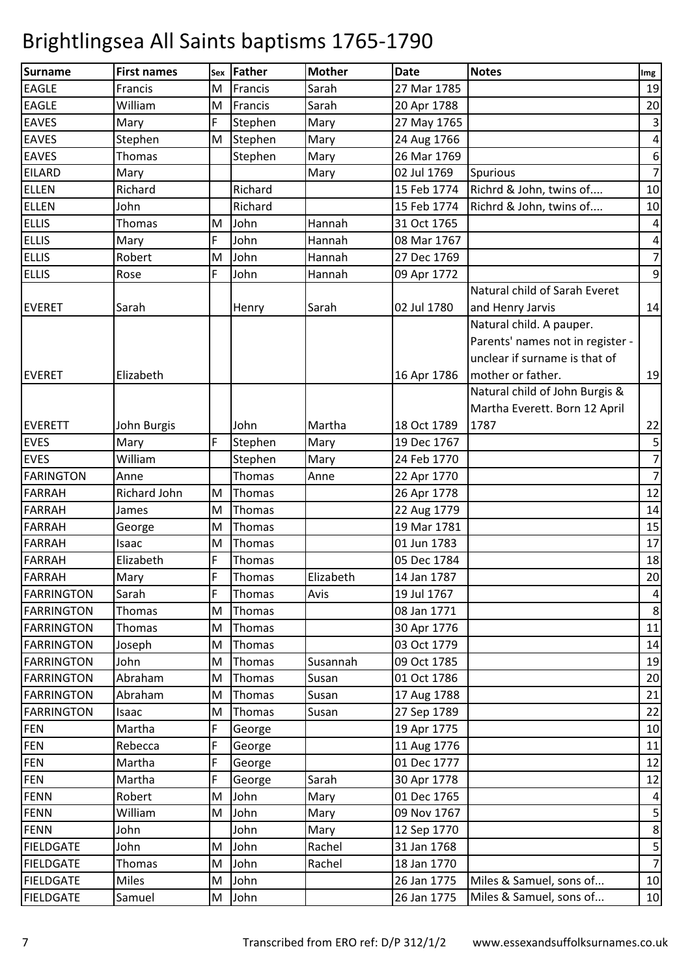| <b>Surname</b>    | <b>First names</b> | Sex         | Father  | <b>Mother</b> | <b>Date</b> | <b>Notes</b>                     | Img                     |
|-------------------|--------------------|-------------|---------|---------------|-------------|----------------------------------|-------------------------|
| <b>EAGLE</b>      | Francis            | M           | Francis | Sarah         | 27 Mar 1785 |                                  | 19                      |
| <b>EAGLE</b>      | William            | M           | Francis | Sarah         | 20 Apr 1788 |                                  | 20                      |
| <b>EAVES</b>      | Mary               | F           | Stephen | Mary          | 27 May 1765 |                                  | $\mathbf{3}$            |
| <b>EAVES</b>      | Stephen            | M           | Stephen | Mary          | 24 Aug 1766 |                                  | $\sqrt{4}$              |
| <b>EAVES</b>      | Thomas             |             | Stephen | Mary          | 26 Mar 1769 |                                  | $\boldsymbol{6}$        |
| <b>EILARD</b>     | Mary               |             |         | Mary          | 02 Jul 1769 | Spurious                         | $\overline{7}$          |
| <b>ELLEN</b>      | Richard            |             | Richard |               | 15 Feb 1774 | Richrd & John, twins of          | 10                      |
| <b>ELLEN</b>      | John               |             | Richard |               | 15 Feb 1774 | Richrd & John, twins of          | 10                      |
| <b>ELLIS</b>      | Thomas             | M           | John    | Hannah        | 31 Oct 1765 |                                  | $\overline{\mathbf{4}}$ |
| <b>ELLIS</b>      | Mary               | $\mathsf F$ | John    | Hannah        | 08 Mar 1767 |                                  | $\overline{4}$          |
| <b>ELLIS</b>      | Robert             | M           | John    | Hannah        | 27 Dec 1769 |                                  | $\boldsymbol{7}$        |
| <b>ELLIS</b>      | Rose               | F           | John    | Hannah        | 09 Apr 1772 |                                  | $\overline{9}$          |
|                   |                    |             |         |               |             | Natural child of Sarah Everet    |                         |
| <b>EVERET</b>     | Sarah              |             | Henry   | Sarah         | 02 Jul 1780 | and Henry Jarvis                 | 14                      |
|                   |                    |             |         |               |             | Natural child. A pauper.         |                         |
|                   |                    |             |         |               |             | Parents' names not in register - |                         |
|                   |                    |             |         |               |             | unclear if surname is that of    |                         |
| <b>EVERET</b>     | Elizabeth          |             |         |               | 16 Apr 1786 | mother or father.                | 19                      |
|                   |                    |             |         |               |             | Natural child of John Burgis &   |                         |
|                   |                    |             |         |               |             | Martha Everett. Born 12 April    |                         |
| <b>EVERETT</b>    | John Burgis        |             | John    | Martha        | 18 Oct 1789 | 1787                             | 22                      |
| <b>EVES</b>       | Mary               | F           | Stephen | Mary          | 19 Dec 1767 |                                  | $\overline{\mathbf{5}}$ |
| <b>EVES</b>       | William            |             | Stephen | Mary          | 24 Feb 1770 |                                  | $\overline{7}$          |
| <b>FARINGTON</b>  | Anne               |             | Thomas  | Anne          | 22 Apr 1770 |                                  | $\overline{7}$          |
| <b>FARRAH</b>     | Richard John       | M           | Thomas  |               | 26 Apr 1778 |                                  | 12                      |
| <b>FARRAH</b>     | James              | M           | Thomas  |               | 22 Aug 1779 |                                  | 14                      |
| <b>FARRAH</b>     | George             | M           | Thomas  |               | 19 Mar 1781 |                                  | 15                      |
| <b>FARRAH</b>     | Isaac              | M           | Thomas  |               | 01 Jun 1783 |                                  | 17                      |
| <b>FARRAH</b>     | Elizabeth          | $\mathsf F$ | Thomas  |               | 05 Dec 1784 |                                  | 18                      |
| <b>FARRAH</b>     | Mary               | ١F          | Thomas  | Elizabeth     | 14 Jan 1787 |                                  | 20                      |
| <b>FARRINGTON</b> | Sarah              | F           | Thomas  | Avis          | 19 Jul 1767 |                                  | $\overline{a}$          |
| <b>FARRINGTON</b> | Thomas             | M           | Thomas  |               | 08 Jan 1771 |                                  | 8                       |
| <b>FARRINGTON</b> | Thomas             | M           | Thomas  |               | 30 Apr 1776 |                                  | 11                      |
| <b>FARRINGTON</b> | Joseph             | M           | Thomas  |               | 03 Oct 1779 |                                  | 14                      |
| <b>FARRINGTON</b> | John               | M           | Thomas  | Susannah      | 09 Oct 1785 |                                  | 19                      |
| <b>FARRINGTON</b> | Abraham            | M           | Thomas  | Susan         | 01 Oct 1786 |                                  | 20                      |
| <b>FARRINGTON</b> | Abraham            | M           | Thomas  | Susan         | 17 Aug 1788 |                                  | 21                      |
| <b>FARRINGTON</b> | Isaac              | M           | Thomas  | Susan         | 27 Sep 1789 |                                  | 22                      |
| <b>FEN</b>        | Martha             | F           | George  |               | 19 Apr 1775 |                                  | 10                      |
| <b>FEN</b>        | Rebecca            | F           | George  |               | 11 Aug 1776 |                                  | 11                      |
| <b>FEN</b>        | Martha             | F           | George  |               | 01 Dec 1777 |                                  | 12                      |
| <b>FEN</b>        | Martha             | $\mathsf F$ | George  | Sarah         | 30 Apr 1778 |                                  | 12                      |
| <b>FENN</b>       | Robert             | ${\sf M}$   | John    | Mary          | 01 Dec 1765 |                                  | $\overline{a}$          |
| <b>FENN</b>       | William            | M           | John    | Mary          | 09 Nov 1767 |                                  | $\mathsf S$             |
| <b>FENN</b>       | John               |             | John    | Mary          | 12 Sep 1770 |                                  | $\bf 8$                 |
| <b>FIELDGATE</b>  | John               | M           | John    | Rachel        | 31 Jan 1768 |                                  | 5                       |
| <b>FIELDGATE</b>  | Thomas             | M           | John    | Rachel        | 18 Jan 1770 |                                  | $\overline{z}$          |
| <b>FIELDGATE</b>  | <b>Miles</b>       | M           | John    |               | 26 Jan 1775 | Miles & Samuel, sons of          | 10                      |
| <b>FIELDGATE</b>  | Samuel             |             | M John  |               | 26 Jan 1775 | Miles & Samuel, sons of          | <b>10</b>               |
|                   |                    |             |         |               |             |                                  |                         |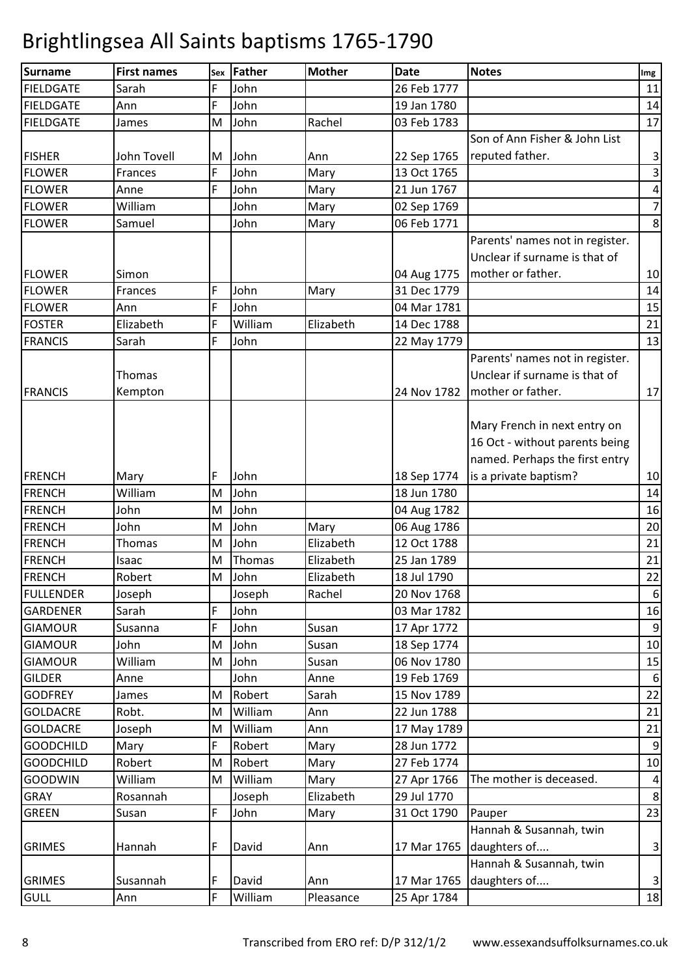| <b>Surname</b>   | <b>First names</b> | Sex | <b>Father</b> | <b>Mother</b> | <b>Date</b> | <b>Notes</b>                    | Img                     |
|------------------|--------------------|-----|---------------|---------------|-------------|---------------------------------|-------------------------|
| <b>FIELDGATE</b> | Sarah              | F   | John          |               | 26 Feb 1777 |                                 | 11                      |
| <b>FIELDGATE</b> | Ann                | F   | John          |               | 19 Jan 1780 |                                 | 14                      |
| <b>FIELDGATE</b> | James              | M   | John          | Rachel        | 03 Feb 1783 |                                 | 17                      |
|                  |                    |     |               |               |             | Son of Ann Fisher & John List   |                         |
| <b>FISHER</b>    | John Tovell        | M   | John          | Ann           | 22 Sep 1765 | reputed father.                 | $\mathsf 3$             |
| <b>FLOWER</b>    | Frances            | F   | John          | Mary          | 13 Oct 1765 |                                 | $\overline{\mathbf{3}}$ |
| <b>FLOWER</b>    | Anne               | F   | John          | Mary          | 21 Jun 1767 |                                 | $\pmb{4}$               |
| <b>FLOWER</b>    | William            |     | John          | Mary          | 02 Sep 1769 |                                 | $\overline{7}$          |
| <b>FLOWER</b>    | Samuel             |     | John          | Mary          | 06 Feb 1771 |                                 | $\bf 8$                 |
|                  |                    |     |               |               |             | Parents' names not in register. |                         |
|                  |                    |     |               |               |             | Unclear if surname is that of   |                         |
| <b>FLOWER</b>    | Simon              |     |               |               | 04 Aug 1775 | mother or father.               | 10                      |
| <b>FLOWER</b>    | Frances            | F   | John          | Mary          | 31 Dec 1779 |                                 | 14                      |
| <b>FLOWER</b>    | Ann                | F   | John          |               | 04 Mar 1781 |                                 | 15                      |
| <b>FOSTER</b>    | Elizabeth          | F   | William       | Elizabeth     | 14 Dec 1788 |                                 | 21                      |
| <b>FRANCIS</b>   | Sarah              | F   | John          |               | 22 May 1779 |                                 | 13                      |
|                  |                    |     |               |               |             | Parents' names not in register. |                         |
|                  | Thomas             |     |               |               |             | Unclear if surname is that of   |                         |
| <b>FRANCIS</b>   | Kempton            |     |               |               | 24 Nov 1782 | mother or father.               | 17                      |
|                  |                    |     |               |               |             |                                 |                         |
|                  |                    |     |               |               |             | Mary French in next entry on    |                         |
|                  |                    |     |               |               |             | 16 Oct - without parents being  |                         |
|                  |                    |     |               |               |             | named. Perhaps the first entry  |                         |
| <b>FRENCH</b>    | Mary               | F   | John          |               | 18 Sep 1774 | is a private baptism?           | 10                      |
| <b>FRENCH</b>    | William            | M   | John          |               | 18 Jun 1780 |                                 | 14                      |
| <b>FRENCH</b>    | John               | M   | John          |               | 04 Aug 1782 |                                 | 16                      |
| <b>FRENCH</b>    | John               | M   | John          | Mary          | 06 Aug 1786 |                                 | 20                      |
| <b>FRENCH</b>    | Thomas             | M   | John          | Elizabeth     | 12 Oct 1788 |                                 | 21                      |
| <b>FRENCH</b>    | Isaac              | M   | Thomas        | Elizabeth     | 25 Jan 1789 |                                 | 21                      |
| <b>FRENCH</b>    | Robert             | M   | John          | Elizabeth     | 18 Jul 1790 |                                 | 22                      |
| <b>FULLENDER</b> | Joseph             |     | Joseph        | Rachel        | 20 Nov 1768 |                                 | $\boldsymbol{6}$        |
| <b>GARDENER</b>  | Sarah              | F   | John          |               | 03 Mar 1782 |                                 | 16                      |
| <b>GIAMOUR</b>   | Susanna            | F   | John          | Susan         | 17 Apr 1772 |                                 | $\boldsymbol{9}$        |
| <b>GIAMOUR</b>   | John               | M   | John          | Susan         | 18 Sep 1774 |                                 | 10                      |
| <b>GIAMOUR</b>   | William            | M   | John          | Susan         | 06 Nov 1780 |                                 | 15                      |
| <b>GILDER</b>    | Anne               |     | John          | Anne          | 19 Feb 1769 |                                 | 6                       |
| <b>GODFREY</b>   | James              | M   | Robert        | Sarah         | 15 Nov 1789 |                                 | 22                      |
| <b>GOLDACRE</b>  | Robt.              | M   | William       | Ann           | 22 Jun 1788 |                                 | 21                      |
| <b>GOLDACRE</b>  | Joseph             | M   | William       | Ann           | 17 May 1789 |                                 | 21                      |
| <b>GOODCHILD</b> | Mary               | F   | Robert        | Mary          | 28 Jun 1772 |                                 | $9\,$                   |
| <b>GOODCHILD</b> | Robert             | M   | Robert        | Mary          | 27 Feb 1774 |                                 | 10                      |
| <b>GOODWIN</b>   | William            | M   | William       | Mary          | 27 Apr 1766 | The mother is deceased.         | $\overline{a}$          |
| GRAY             | Rosannah           |     | Joseph        | Elizabeth     | 29 Jul 1770 |                                 | 8                       |
| <b>GREEN</b>     | Susan              | F   | John          | Mary          | 31 Oct 1790 | Pauper                          | 23                      |
|                  |                    |     |               |               |             | Hannah & Susannah, twin         |                         |
| <b>GRIMES</b>    | Hannah             | F   | David         | Ann           | 17 Mar 1765 | daughters of                    | $\mathbf{3}$            |
|                  |                    |     |               |               |             | Hannah & Susannah, twin         |                         |
| <b>GRIMES</b>    | Susannah           | F   | David         | Ann           | 17 Mar 1765 | daughters of                    | $\mathsf 3$             |
| <b>GULL</b>      | Ann                | F   | William       | Pleasance     | 25 Apr 1784 |                                 | 18                      |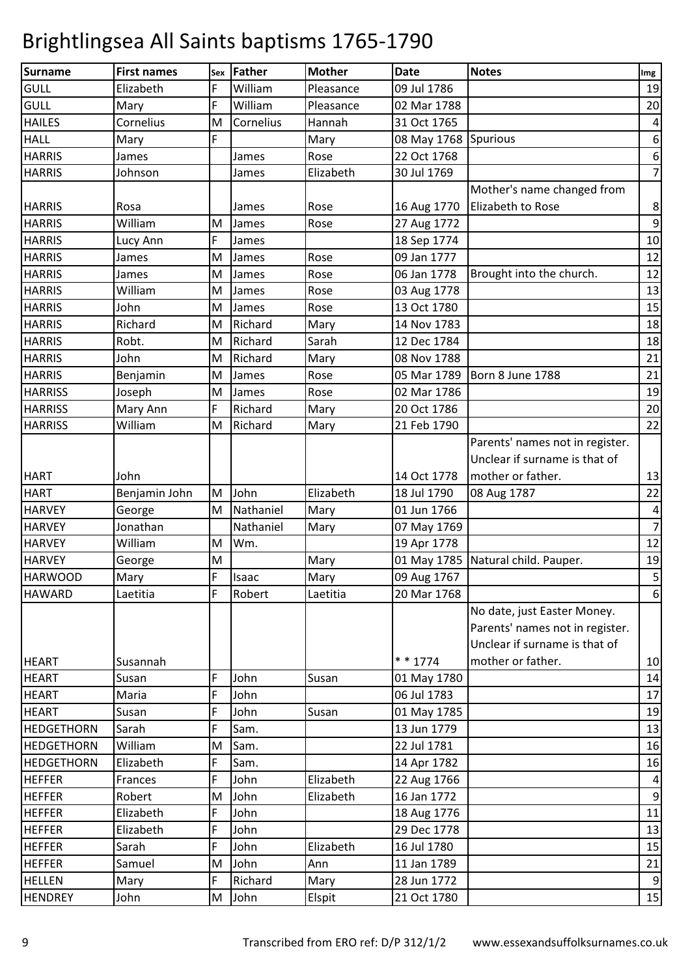| Surname           | <b>First names</b> | Sex         | Father    | <b>Mother</b> | <b>Date</b>          | <b>Notes</b>                       | Img                     |
|-------------------|--------------------|-------------|-----------|---------------|----------------------|------------------------------------|-------------------------|
| GULL              | Elizabeth          | F           | William   | Pleasance     | 09 Jul 1786          |                                    | 19                      |
| GULL              | Mary               | F           | William   | Pleasance     | 02 Mar 1788          |                                    | 20                      |
| <b>HAILES</b>     | Cornelius          | M           | Cornelius | Hannah        | 31 Oct 1765          |                                    | 4                       |
| <b>HALL</b>       | Mary               | F           |           | Mary          | 08 May 1768 Spurious |                                    | $\boldsymbol{6}$        |
| <b>HARRIS</b>     | James              |             | James     | Rose          | 22 Oct 1768          |                                    | 6                       |
| <b>HARRIS</b>     | Johnson            |             | James     | Elizabeth     | 30 Jul 1769          |                                    | $\overline{7}$          |
|                   |                    |             |           |               |                      | Mother's name changed from         |                         |
| <b>HARRIS</b>     | Rosa               |             | James     | Rose          | 16 Aug 1770          | Elizabeth to Rose                  | 8                       |
| <b>HARRIS</b>     | William            | M           | James     | Rose          | 27 Aug 1772          |                                    | $\overline{9}$          |
| <b>HARRIS</b>     | Lucy Ann           | F           | James     |               | 18 Sep 1774          |                                    | 10                      |
| <b>HARRIS</b>     | James              | M           | James     | Rose          | 09 Jan 1777          |                                    | 12                      |
| <b>HARRIS</b>     | James              | M           | James     | Rose          | 06 Jan 1778          | Brought into the church.           | 12                      |
| <b>HARRIS</b>     | William            | M           | James     | Rose          | 03 Aug 1778          |                                    | 13                      |
| <b>HARRIS</b>     | John               | M           | James     | Rose          | 13 Oct 1780          |                                    | 15                      |
| <b>HARRIS</b>     | Richard            | M           | Richard   | Mary          | 14 Nov 1783          |                                    | 18                      |
| <b>HARRIS</b>     | Robt.              | M           | Richard   | Sarah         | 12 Dec 1784          |                                    | 18                      |
| <b>HARRIS</b>     | John               | M           | Richard   | Mary          | 08 Nov 1788          |                                    | 21                      |
| <b>HARRIS</b>     | Benjamin           | M           | James     | Rose          | 05 Mar 1789          | Born 8 June 1788                   | 21                      |
| <b>HARRISS</b>    | Joseph             | M           | James     | Rose          | 02 Mar 1786          |                                    | 19                      |
| <b>HARRISS</b>    | Mary Ann           | F           | Richard   | Mary          | 20 Oct 1786          |                                    | 20                      |
| <b>HARRISS</b>    | William            | M           | Richard   | Mary          | 21 Feb 1790          |                                    | 22                      |
|                   |                    |             |           |               |                      | Parents' names not in register.    |                         |
|                   |                    |             |           |               |                      | Unclear if surname is that of      |                         |
| <b>HART</b>       | John               |             |           |               | 14 Oct 1778          | mother or father.                  | 13                      |
| <b>HART</b>       | Benjamin John      | M           | John      | Elizabeth     | 18 Jul 1790          | 08 Aug 1787                        | 22                      |
| <b>HARVEY</b>     | George             | M           | Nathaniel | Mary          | 01 Jun 1766          |                                    | $\overline{\mathbf{4}}$ |
| <b>HARVEY</b>     | Jonathan           |             | Nathaniel | Mary          | 07 May 1769          |                                    | $\overline{7}$          |
| <b>HARVEY</b>     | William            | M           | Wm.       |               | 19 Apr 1778          |                                    | 12                      |
| <b>HARVEY</b>     | George             | M           |           | Mary          |                      | 01 May 1785 Natural child. Pauper. | 19                      |
| <b>HARWOOD</b>    | Mary               | F           | Isaac     | Mary          | 09 Aug 1767          |                                    | $\overline{5}$          |
| <b>HAWARD</b>     | Laetitia           | $\mathsf F$ | Robert    | Laetitia      | 20 Mar 1768          |                                    | 6                       |
|                   |                    |             |           |               |                      | No date, just Easter Money.        |                         |
|                   |                    |             |           |               |                      | Parents' names not in register.    |                         |
|                   |                    |             |           |               |                      | Unclear if surname is that of      |                         |
| <b>HEART</b>      | Susannah           |             |           |               | $* * 1774$           | mother or father.                  | 10                      |
| <b>HEART</b>      | Susan              | F           | John      | Susan         | 01 May 1780          |                                    | 14                      |
| <b>HEART</b>      | Maria              | F           | John      |               | 06 Jul 1783          |                                    | 17                      |
| <b>HEART</b>      | Susan              | F           | John      | Susan         | 01 May 1785          |                                    | 19                      |
| <b>HEDGETHORN</b> | Sarah              | F           | Sam.      |               | 13 Jun 1779          |                                    | 13                      |
| <b>HEDGETHORN</b> | William            | M           | Sam.      |               | 22 Jul 1781          |                                    | 16                      |
| <b>HEDGETHORN</b> | Elizabeth          | F           | Sam.      |               | 14 Apr 1782          |                                    | 16                      |
| <b>HEFFER</b>     | Frances            | F           | John      | Elizabeth     | 22 Aug 1766          |                                    | $\overline{a}$          |
| <b>HEFFER</b>     | Robert             | M           | John      | Elizabeth     | 16 Jan 1772          |                                    | $\overline{9}$          |
| <b>HEFFER</b>     | Elizabeth          | F           | John      |               | 18 Aug 1776          |                                    | 11                      |
| <b>HEFFER</b>     | Elizabeth          | F           | John      |               | 29 Dec 1778          |                                    | 13                      |
| <b>HEFFER</b>     | Sarah              | F           | John      | Elizabeth     | 16 Jul 1780          |                                    | 15                      |
| <b>HEFFER</b>     | Samuel             | M           | John      | Ann           | 11 Jan 1789          |                                    | 21                      |
| <b>HELLEN</b>     | Mary               | $\mathsf F$ | Richard   | Mary          | 28 Jun 1772          |                                    | 9                       |
| <b>HENDREY</b>    | John               | M           | John      | Elspit        | 21 Oct 1780          |                                    | 15                      |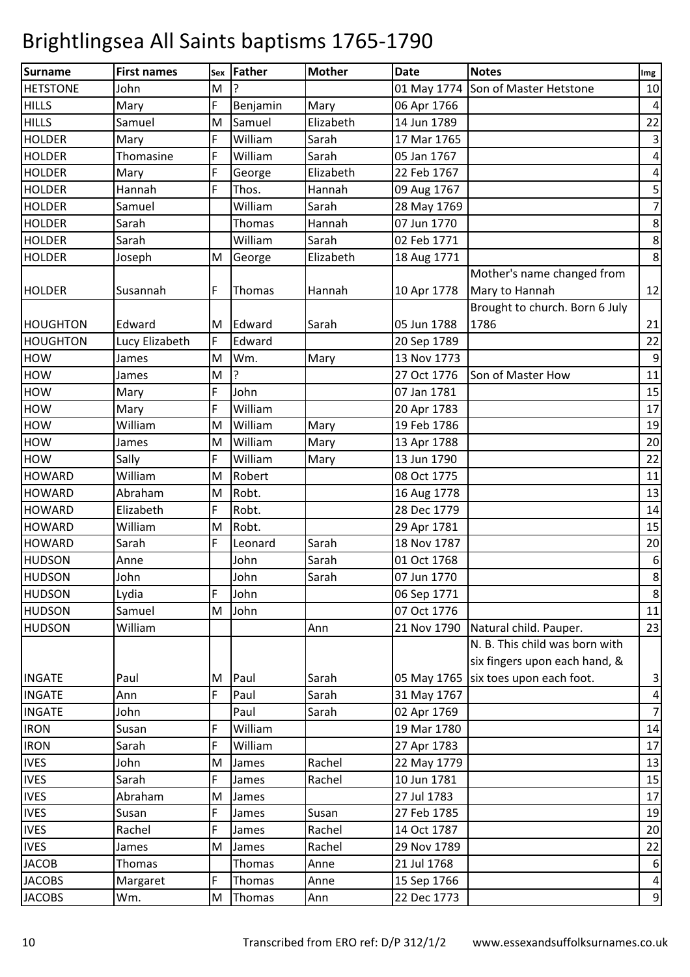| <b>Surname</b>  | <b>First names</b> | Sex | <b>Father</b> | <b>Mother</b> | <b>Date</b> | <b>Notes</b>                         | Img                     |
|-----------------|--------------------|-----|---------------|---------------|-------------|--------------------------------------|-------------------------|
| <b>HETSTONE</b> | John               | M   | ?             |               |             | 01 May 1774 Son of Master Hetstone   | 10                      |
| <b>HILLS</b>    | Mary               | F   | Benjamin      | Mary          | 06 Apr 1766 |                                      | $\overline{\mathbf{4}}$ |
| <b>HILLS</b>    | Samuel             | M   | Samuel        | Elizabeth     | 14 Jun 1789 |                                      | 22                      |
| <b>HOLDER</b>   | Mary               | F   | William       | Sarah         | 17 Mar 1765 |                                      | $\mathbf{3}$            |
| <b>HOLDER</b>   | Thomasine          | F   | William       | Sarah         | 05 Jan 1767 |                                      | $\pmb{4}$               |
| <b>HOLDER</b>   | Mary               | F   | George        | Elizabeth     | 22 Feb 1767 |                                      | $\overline{\mathbf{r}}$ |
| <b>HOLDER</b>   | Hannah             | F   | Thos.         | Hannah        | 09 Aug 1767 |                                      | 5                       |
| <b>HOLDER</b>   | Samuel             |     | William       | Sarah         | 28 May 1769 |                                      | $\overline{7}$          |
| <b>HOLDER</b>   | Sarah              |     | Thomas        | Hannah        | 07 Jun 1770 |                                      | $\bf 8$                 |
| <b>HOLDER</b>   | Sarah              |     | William       | Sarah         | 02 Feb 1771 |                                      | $\bf 8$                 |
| <b>HOLDER</b>   | Joseph             | M   | George        | Elizabeth     | 18 Aug 1771 |                                      | $\bf 8$                 |
|                 |                    |     |               |               |             | Mother's name changed from           |                         |
| <b>HOLDER</b>   | Susannah           | F   | Thomas        | Hannah        | 10 Apr 1778 | Mary to Hannah                       | 12                      |
|                 |                    |     |               |               |             | Brought to church. Born 6 July       |                         |
| <b>HOUGHTON</b> | Edward             | M   | Edward        | Sarah         | 05 Jun 1788 | 1786                                 | 21                      |
| <b>HOUGHTON</b> | Lucy Elizabeth     | F   | Edward        |               | 20 Sep 1789 |                                      | 22                      |
| <b>HOW</b>      | James              | M   | Wm.           | Mary          | 13 Nov 1773 |                                      | $\boldsymbol{9}$        |
| <b>HOW</b>      | James              | M   | ?             |               | 27 Oct 1776 | Son of Master How                    | 11                      |
| <b>HOW</b>      | Mary               | F   | John          |               | 07 Jan 1781 |                                      | 15                      |
| <b>HOW</b>      | Mary               | F   | William       |               | 20 Apr 1783 |                                      | 17                      |
| <b>HOW</b>      | William            | M   | William       | Mary          | 19 Feb 1786 |                                      | 19                      |
| <b>HOW</b>      | James              | M   | William       | Mary          | 13 Apr 1788 |                                      | 20                      |
| <b>HOW</b>      | Sally              | F   | William       | Mary          | 13 Jun 1790 |                                      | 22                      |
| <b>HOWARD</b>   | William            | M   | Robert        |               | 08 Oct 1775 |                                      | 11                      |
| <b>HOWARD</b>   | Abraham            | M   | Robt.         |               | 16 Aug 1778 |                                      | 13                      |
| <b>HOWARD</b>   | Elizabeth          | F   | Robt.         |               | 28 Dec 1779 |                                      | 14                      |
| <b>HOWARD</b>   | William            | M   | Robt.         |               | 29 Apr 1781 |                                      | 15                      |
| <b>HOWARD</b>   | Sarah              | F   | Leonard       | Sarah         | 18 Nov 1787 |                                      | 20                      |
| <b>HUDSON</b>   | Anne               |     | John          | Sarah         | 01 Oct 1768 |                                      | $\boldsymbol{6}$        |
| <b>HUDSON</b>   | John               |     | John          | Sarah         | 07 Jun 1770 |                                      | $\infty$                |
| <b>HUDSON</b>   | Lydia              | F   | John          |               | 06 Sep 1771 |                                      | $\bf 8$                 |
| <b>HUDSON</b>   | Samuel             | M   | John          |               | 07 Oct 1776 |                                      | 11                      |
| <b>HUDSON</b>   | William            |     |               | Ann           |             | 21 Nov 1790 Natural child. Pauper.   | 23                      |
|                 |                    |     |               |               |             | N. B. This child was born with       |                         |
|                 |                    |     |               |               |             | six fingers upon each hand, &        |                         |
| <b>INGATE</b>   | Paul               | M   | Paul          | Sarah         |             | 05 May 1765 six toes upon each foot. | $\mathbf{3}$            |
| <b>INGATE</b>   | Ann                | F   | Paul          | Sarah         | 31 May 1767 |                                      | $\overline{a}$          |
| <b>INGATE</b>   | John               |     | Paul          | Sarah         | 02 Apr 1769 |                                      | $\overline{7}$          |
| <b>IRON</b>     | Susan              | F   | William       |               | 19 Mar 1780 |                                      | 14                      |
| <b>IRON</b>     | Sarah              | F   | William       |               | 27 Apr 1783 |                                      | 17                      |
| <b>IVES</b>     | John               | M   | James         | Rachel        | 22 May 1779 |                                      | 13                      |
| <b>IVES</b>     | Sarah              | F   | James         | Rachel        | 10 Jun 1781 |                                      | 15                      |
| <b>IVES</b>     | Abraham            | M   | James         |               | 27 Jul 1783 |                                      | 17                      |
| <b>IVES</b>     | Susan              | F   | James         | Susan         | 27 Feb 1785 |                                      | 19                      |
| <b>IVES</b>     | Rachel             | F   | James         | Rachel        | 14 Oct 1787 |                                      | 20                      |
| <b>IVES</b>     | James              | M   | James         | Rachel        | 29 Nov 1789 |                                      | 22                      |
| <b>JACOB</b>    | Thomas             |     | Thomas        | Anne          | 21 Jul 1768 |                                      | $\boldsymbol{6}$        |
| <b>JACOBS</b>   | Margaret           | F   | Thomas        | Anne          | 15 Sep 1766 |                                      | $\pmb{4}$               |
| <b>JACOBS</b>   | Wm.                | M   | Thomas        | Ann           | 22 Dec 1773 |                                      | $\mathsf 9$             |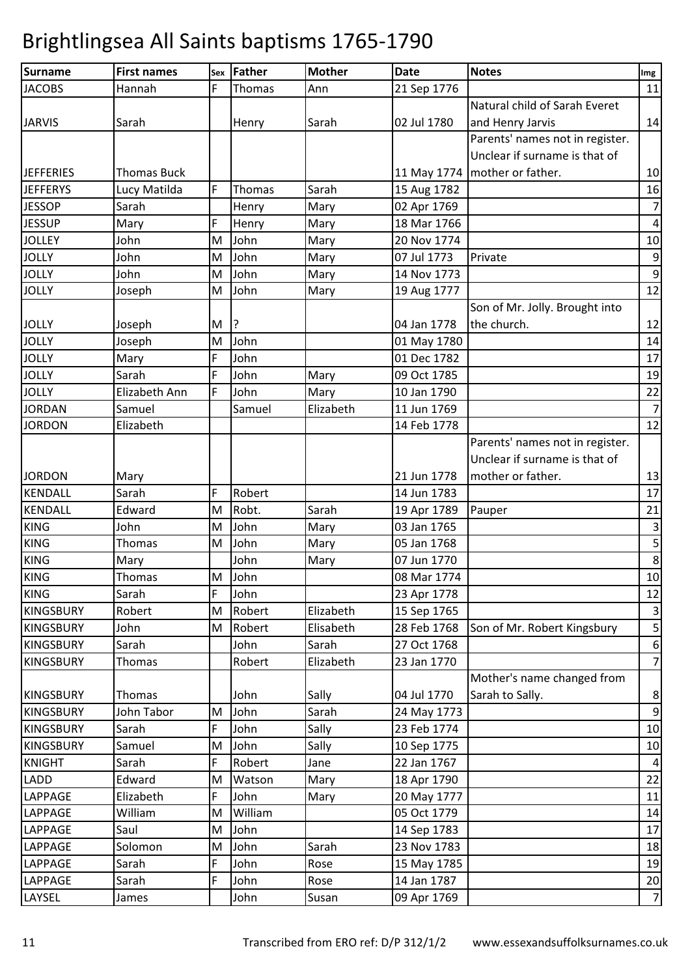| Surname          | <b>First names</b> |   | sex Father    | <b>Mother</b> | <b>Date</b> | <b>Notes</b>                    | Img                     |
|------------------|--------------------|---|---------------|---------------|-------------|---------------------------------|-------------------------|
| <b>JACOBS</b>    | Hannah             | F | <b>Thomas</b> | Ann           | 21 Sep 1776 |                                 | 11                      |
|                  |                    |   |               |               |             | Natural child of Sarah Everet   |                         |
| <b>JARVIS</b>    | Sarah              |   | Henry         | Sarah         | 02 Jul 1780 | and Henry Jarvis                | 14                      |
|                  |                    |   |               |               |             | Parents' names not in register. |                         |
|                  |                    |   |               |               |             | Unclear if surname is that of   |                         |
| <b>JEFFERIES</b> | <b>Thomas Buck</b> |   |               |               |             | 11 May 1774   mother or father. | 10                      |
| <b>JEFFERYS</b>  | Lucy Matilda       | F | Thomas        | Sarah         | 15 Aug 1782 |                                 | 16                      |
| <b>JESSOP</b>    | Sarah              |   | Henry         | Mary          | 02 Apr 1769 |                                 | $\overline{7}$          |
| <b>JESSUP</b>    | Mary               | F | Henry         | Mary          | 18 Mar 1766 |                                 | $\overline{\mathbf{4}}$ |
| <b>JOLLEY</b>    | John               | M | John          | Mary          | 20 Nov 1774 |                                 | 10                      |
| <b>JOLLY</b>     | John               | M | John          | Mary          | 07 Jul 1773 | Private                         | $\boldsymbol{9}$        |
| <b>JOLLY</b>     | John               | M | John          | Mary          | 14 Nov 1773 |                                 | $\overline{9}$          |
| <b>JOLLY</b>     | Joseph             | M | John          | Mary          | 19 Aug 1777 |                                 | 12                      |
|                  |                    |   |               |               |             | Son of Mr. Jolly. Brought into  |                         |
| <b>JOLLY</b>     | Joseph             | M | ?             |               | 04 Jan 1778 | the church.                     | 12                      |
| <b>JOLLY</b>     | Joseph             | M | John          |               | 01 May 1780 |                                 | 14                      |
| <b>JOLLY</b>     | Mary               | F | John          |               | 01 Dec 1782 |                                 | 17                      |
| <b>JOLLY</b>     | Sarah              | F | John          | Mary          | 09 Oct 1785 |                                 | 19                      |
| <b>JOLLY</b>     | Elizabeth Ann      | F | John          | Mary          | 10 Jan 1790 |                                 | 22                      |
| <b>JORDAN</b>    | Samuel             |   | Samuel        | Elizabeth     | 11 Jun 1769 |                                 | $\overline{7}$          |
| <b>JORDON</b>    | Elizabeth          |   |               |               | 14 Feb 1778 |                                 | 12                      |
|                  |                    |   |               |               |             | Parents' names not in register. |                         |
|                  |                    |   |               |               |             | Unclear if surname is that of   |                         |
| <b>JORDON</b>    | Mary               |   |               |               | 21 Jun 1778 | mother or father.               | 13                      |
| <b>KENDALL</b>   | Sarah              | F | Robert        |               | 14 Jun 1783 |                                 | 17                      |
| <b>KENDALL</b>   | Edward             | M | Robt.         | Sarah         | 19 Apr 1789 | Pauper                          | 21                      |
| <b>KING</b>      | John               | M | John          | Mary          | 03 Jan 1765 |                                 | $\overline{\mathbf{3}}$ |
| <b>KING</b>      | Thomas             | M | John          | Mary          | 05 Jan 1768 |                                 | 5                       |
| <b>KING</b>      | Mary               |   | John          | Mary          | 07 Jun 1770 |                                 | $\,8\,$                 |
| <b>KING</b>      | Thomas             |   | M John        |               | 08 Mar 1774 |                                 | 10                      |
| <b>KING</b>      | Sarah              | F | John          |               | 23 Apr 1778 |                                 | 12                      |
| <b>KINGSBURY</b> | Robert             | M | Robert        | Elizabeth     | 15 Sep 1765 |                                 | $\mathbf{3}$            |
| <b>KINGSBURY</b> | John               | M | Robert        | Elisabeth     | 28 Feb 1768 | Son of Mr. Robert Kingsbury     | $\mathsf S$             |
| <b>KINGSBURY</b> | Sarah              |   | John          | Sarah         | 27 Oct 1768 |                                 | $\sqrt{6}$              |
| <b>KINGSBURY</b> | Thomas             |   | Robert        | Elizabeth     | 23 Jan 1770 |                                 | $\overline{7}$          |
|                  |                    |   |               |               |             | Mother's name changed from      |                         |
| <b>KINGSBURY</b> | Thomas             |   | John          | Sally         | 04 Jul 1770 | Sarah to Sally.                 | $\bf 8$                 |
| <b>KINGSBURY</b> | John Tabor         | M | John          | Sarah         | 24 May 1773 |                                 | $\boldsymbol{9}$        |
| <b>KINGSBURY</b> | Sarah              | F | John          | Sally         | 23 Feb 1774 |                                 | 10                      |
| <b>KINGSBURY</b> | Samuel             | M | John          | Sally         | 10 Sep 1775 |                                 | 10                      |
| <b>KNIGHT</b>    | Sarah              | F | Robert        | Jane          | 22 Jan 1767 |                                 | $\overline{a}$          |
| <b>LADD</b>      | Edward             | M | Watson        | Mary          | 18 Apr 1790 |                                 | 22                      |
| LAPPAGE          | Elizabeth          | F | John          | Mary          | 20 May 1777 |                                 | 11                      |
| LAPPAGE          | William            | M | William       |               | 05 Oct 1779 |                                 | 14                      |
| LAPPAGE          | Saul               | M | John          |               | 14 Sep 1783 |                                 | 17                      |
| LAPPAGE          | Solomon            | M | John          | Sarah         | 23 Nov 1783 |                                 | 18                      |
| LAPPAGE          | Sarah              | F | John          | Rose          | 15 May 1785 |                                 | 19                      |
| <b>LAPPAGE</b>   | Sarah              | F | John          | Rose          | 14 Jan 1787 |                                 | $20\,$                  |
| LAYSEL           | James              |   | John          | Susan         | 09 Apr 1769 |                                 | $\overline{7}$          |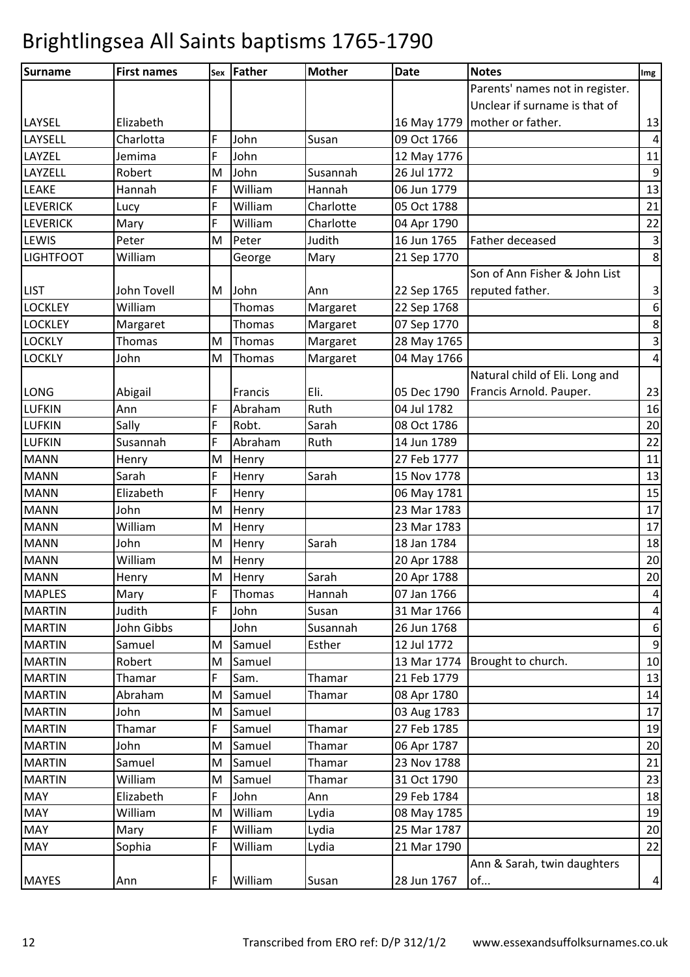| <b>Surname</b>   | <b>First names</b> | Sex | Father  | <b>Mother</b> | <b>Date</b> | <b>Notes</b>                    | Img                     |
|------------------|--------------------|-----|---------|---------------|-------------|---------------------------------|-------------------------|
|                  |                    |     |         |               |             | Parents' names not in register. |                         |
|                  |                    |     |         |               |             | Unclear if surname is that of   |                         |
| LAYSEL           | Elizabeth          |     |         |               |             | 16 May 1779   mother or father. | 13                      |
| LAYSELL          | Charlotta          | F   | John    | Susan         | 09 Oct 1766 |                                 | $\overline{a}$          |
| LAYZEL           | Jemima             | F   | John    |               | 12 May 1776 |                                 | 11                      |
| LAYZELL          | Robert             | M   | John    | Susannah      | 26 Jul 1772 |                                 | $\boldsymbol{9}$        |
| <b>LEAKE</b>     | Hannah             | F   | William | Hannah        | 06 Jun 1779 |                                 | 13                      |
| <b>LEVERICK</b>  | Lucy               | F   | William | Charlotte     | 05 Oct 1788 |                                 | 21                      |
| <b>LEVERICK</b>  | Mary               | F   | William | Charlotte     | 04 Apr 1790 |                                 | 22                      |
| <b>LEWIS</b>     | Peter              | M   | Peter   | Judith        | 16 Jun 1765 | Father deceased                 | $\overline{3}$          |
| <b>LIGHTFOOT</b> | William            |     | George  | Mary          | 21 Sep 1770 |                                 | $\bf 8$                 |
|                  |                    |     |         |               |             | Son of Ann Fisher & John List   |                         |
| <b>LIST</b>      | John Tovell        | M   | John    | Ann           | 22 Sep 1765 | reputed father.                 | 3                       |
| <b>LOCKLEY</b>   | William            |     | Thomas  | Margaret      | 22 Sep 1768 |                                 | $\boldsymbol{6}$        |
| <b>LOCKLEY</b>   | Margaret           |     | Thomas  | Margaret      | 07 Sep 1770 |                                 | $\bf 8$                 |
| <b>LOCKLY</b>    | Thomas             | M   | Thomas  | Margaret      | 28 May 1765 |                                 | $\overline{\mathbf{3}}$ |
| <b>LOCKLY</b>    | John               | M   | Thomas  | Margaret      | 04 May 1766 |                                 | $\overline{4}$          |
|                  |                    |     |         |               |             | Natural child of Eli. Long and  |                         |
| LONG             | Abigail            |     | Francis | Eli.          | 05 Dec 1790 | Francis Arnold. Pauper.         | 23                      |
| <b>LUFKIN</b>    | Ann                | F   | Abraham | Ruth          | 04 Jul 1782 |                                 | 16                      |
| <b>LUFKIN</b>    | Sally              | F   | Robt.   | Sarah         | 08 Oct 1786 |                                 | 20                      |
| <b>LUFKIN</b>    | Susannah           | F   | Abraham | Ruth          | 14 Jun 1789 |                                 | 22                      |
| <b>MANN</b>      | Henry              | M   | Henry   |               | 27 Feb 1777 |                                 | 11                      |
| <b>MANN</b>      | Sarah              | F   | Henry   | Sarah         | 15 Nov 1778 |                                 | 13                      |
| <b>MANN</b>      | Elizabeth          | F   | Henry   |               | 06 May 1781 |                                 | 15                      |
| <b>MANN</b>      | John               | M   | Henry   |               | 23 Mar 1783 |                                 | 17                      |
| <b>MANN</b>      | William            | M   | Henry   |               | 23 Mar 1783 |                                 | 17                      |
| <b>MANN</b>      | John               | M   | Henry   | Sarah         | 18 Jan 1784 |                                 | 18                      |
| <b>MANN</b>      | William            | M   | Henry   |               | 20 Apr 1788 |                                 | 20                      |
| <b>MANN</b>      | Henry              | M   | Henry   | Sarah         | 20 Apr 1788 |                                 | 20                      |
| <b>MAPLES</b>    | Mary               | F   | Thomas  | Hannah        | 07 Jan 1766 |                                 | $\overline{\mathbf{4}}$ |
| <b>MARTIN</b>    | Judith             | F   | John    | Susan         | 31 Mar 1766 |                                 | $\overline{a}$          |
| <b>MARTIN</b>    | John Gibbs         |     | John    | Susannah      | 26 Jun 1768 |                                 | $\boldsymbol{6}$        |
| <b>MARTIN</b>    | Samuel             | M   | Samuel  | Esther        | 12 Jul 1772 |                                 | $\boldsymbol{9}$        |
| <b>MARTIN</b>    | Robert             | M   | Samuel  |               | 13 Mar 1774 | Brought to church.              | 10                      |
| <b>MARTIN</b>    | Thamar             | F   | Sam.    | Thamar        | 21 Feb 1779 |                                 | 13                      |
| <b>MARTIN</b>    | Abraham            | M   | Samuel  | Thamar        | 08 Apr 1780 |                                 | 14                      |
| <b>MARTIN</b>    | John               | M   | Samuel  |               | 03 Aug 1783 |                                 | 17                      |
| <b>MARTIN</b>    | Thamar             | F   | Samuel  | Thamar        | 27 Feb 1785 |                                 | 19                      |
| <b>MARTIN</b>    | John               | M   | Samuel  | Thamar        | 06 Apr 1787 |                                 | 20                      |
| <b>MARTIN</b>    | Samuel             | M   | Samuel  | Thamar        | 23 Nov 1788 |                                 | 21                      |
| <b>MARTIN</b>    | William            | M   | Samuel  | Thamar        | 31 Oct 1790 |                                 | 23                      |
| <b>MAY</b>       | Elizabeth          | F   | John    | Ann           | 29 Feb 1784 |                                 | 18                      |
| <b>MAY</b>       | William            | M   | William | Lydia         | 08 May 1785 |                                 | 19                      |
| <b>MAY</b>       | Mary               | F   | William | Lydia         | 25 Mar 1787 |                                 | 20                      |
| <b>MAY</b>       | Sophia             | F   | William | Lydia         | 21 Mar 1790 |                                 | 22                      |
|                  |                    |     |         |               |             | Ann & Sarah, twin daughters     |                         |
| <b>MAYES</b>     | Ann                | F   | William | Susan         | 28 Jun 1767 | of                              | $\overline{\mathbf{r}}$ |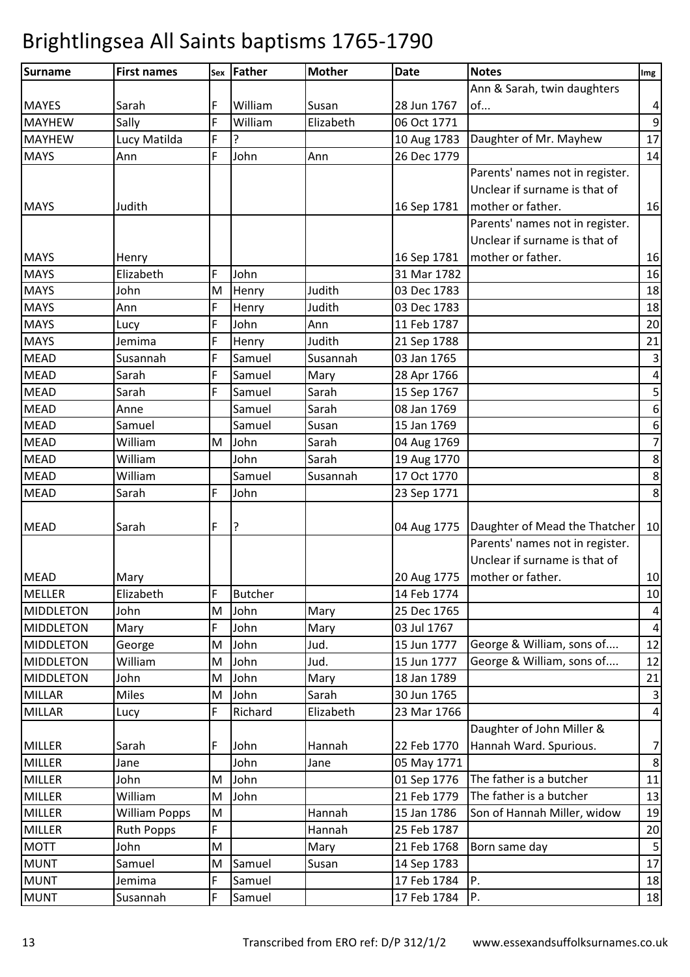| Surname          | <b>First names</b>   | Sex | <b>Father</b>  | <b>Mother</b> | <b>Date</b> | <b>Notes</b>                                | Img                     |
|------------------|----------------------|-----|----------------|---------------|-------------|---------------------------------------------|-------------------------|
|                  |                      |     |                |               |             | Ann & Sarah, twin daughters                 |                         |
| <b>MAYES</b>     | Sarah                | F   | William        | Susan         | 28 Jun 1767 | of                                          | $\pmb{4}$               |
| <b>MAYHEW</b>    | Sally                | F   | William        | Elizabeth     | 06 Oct 1771 |                                             | $\mathsf 9$             |
| <b>MAYHEW</b>    | Lucy Matilda         | F   | ς              |               | 10 Aug 1783 | Daughter of Mr. Mayhew                      | 17                      |
| <b>MAYS</b>      | Ann                  | F   | John           | Ann           | 26 Dec 1779 |                                             | 14                      |
|                  |                      |     |                |               |             | Parents' names not in register.             |                         |
|                  |                      |     |                |               |             | Unclear if surname is that of               |                         |
| <b>MAYS</b>      | Judith               |     |                |               | 16 Sep 1781 | mother or father.                           | 16                      |
|                  |                      |     |                |               |             | Parents' names not in register.             |                         |
|                  |                      |     |                |               |             | Unclear if surname is that of               |                         |
| <b>MAYS</b>      | Henry                |     |                |               | 16 Sep 1781 | mother or father.                           | 16                      |
| <b>MAYS</b>      | Elizabeth            | F   | John           |               | 31 Mar 1782 |                                             | 16                      |
| <b>MAYS</b>      | John                 | M   | Henry          | Judith        | 03 Dec 1783 |                                             | 18                      |
| <b>MAYS</b>      | Ann                  | F   | Henry          | Judith        | 03 Dec 1783 |                                             | 18                      |
| <b>MAYS</b>      | Lucy                 | F   | John           | Ann           | 11 Feb 1787 |                                             | 20                      |
| <b>MAYS</b>      | Jemima               | F   | Henry          | Judith        | 21 Sep 1788 |                                             | 21                      |
| <b>MEAD</b>      | Susannah             | F   | Samuel         | Susannah      | 03 Jan 1765 |                                             | $\overline{3}$          |
| <b>MEAD</b>      | Sarah                | F   | Samuel         | Mary          | 28 Apr 1766 |                                             | $\overline{4}$          |
| <b>MEAD</b>      | Sarah                | F   | Samuel         | Sarah         | 15 Sep 1767 |                                             | $\overline{\mathbf{5}}$ |
| <b>MEAD</b>      | Anne                 |     | Samuel         | Sarah         | 08 Jan 1769 |                                             | $\boldsymbol{6}$        |
| <b>MEAD</b>      | Samuel               |     | Samuel         | Susan         | 15 Jan 1769 |                                             | $\boldsymbol{6}$        |
| <b>MEAD</b>      | William              | M   | John           | Sarah         | 04 Aug 1769 |                                             | $\overline{7}$          |
| <b>MEAD</b>      | William              |     | John           | Sarah         | 19 Aug 1770 |                                             | $\bf 8$                 |
| <b>MEAD</b>      | William              |     | Samuel         | Susannah      | 17 Oct 1770 |                                             | $\bf 8$                 |
| <b>MEAD</b>      | Sarah                | F   | John           |               | 23 Sep 1771 |                                             | $\bf 8$                 |
|                  |                      |     |                |               |             |                                             |                         |
| <b>MEAD</b>      | Sarah                | F   | ?              |               |             | 04 Aug 1775   Daughter of Mead the Thatcher | 10                      |
|                  |                      |     |                |               |             | Parents' names not in register.             |                         |
|                  |                      |     |                |               |             | Unclear if surname is that of               |                         |
| <b>MEAD</b>      | Mary                 |     |                |               |             | 20 Aug 1775   mother or father.             | 10                      |
| <b>MELLER</b>    | Elizabeth            | F   | <b>Butcher</b> |               | 14 Feb 1774 |                                             | 10                      |
| <b>MIDDLETON</b> | John                 | M   | John           | Mary          | 25 Dec 1765 |                                             | $\overline{a}$          |
| <b>MIDDLETON</b> | Mary                 | F   | John           | Mary          | 03 Jul 1767 |                                             | $\overline{4}$          |
| <b>MIDDLETON</b> | George               | M   | John           | Jud.          | 15 Jun 1777 | George & William, sons of                   | 12                      |
| <b>MIDDLETON</b> | William              | M   | John           | Jud.          | 15 Jun 1777 | George & William, sons of                   | 12                      |
| <b>MIDDLETON</b> | John                 | M   | John           | Mary          | 18 Jan 1789 |                                             | 21                      |
| <b>MILLAR</b>    | <b>Miles</b>         | M   | John           | Sarah         | 30 Jun 1765 |                                             | $\mathbf{3}$            |
| <b>MILLAR</b>    | Lucy                 | F   | Richard        | Elizabeth     | 23 Mar 1766 |                                             | $\overline{a}$          |
|                  |                      |     |                |               |             | Daughter of John Miller &                   |                         |
| <b>MILLER</b>    | Sarah                | F   | John           | Hannah        | 22 Feb 1770 | Hannah Ward. Spurious.                      | $\boldsymbol{7}$        |
| <b>MILLER</b>    | Jane                 |     | John           | Jane          | 05 May 1771 |                                             | $\bf 8$                 |
| <b>MILLER</b>    | John                 | M   | John           |               | 01 Sep 1776 | The father is a butcher                     | 11                      |
| <b>MILLER</b>    | William              | M   | John           |               | 21 Feb 1779 | The father is a butcher                     | 13                      |
| <b>MILLER</b>    | <b>William Popps</b> | M   |                | Hannah        | 15 Jan 1786 | Son of Hannah Miller, widow                 | 19                      |
| MILLER           | <b>Ruth Popps</b>    | F   |                | Hannah        | 25 Feb 1787 |                                             | 20                      |
| <b>MOTT</b>      | John                 | M   |                | Mary          | 21 Feb 1768 | Born same day                               | 5                       |
| <b>MUNT</b>      | Samuel               | M   | Samuel         | Susan         | 14 Sep 1783 |                                             | 17                      |
| <b>MUNT</b>      | Jemima               | F   | Samuel         |               | 17 Feb 1784 | P.                                          | 18                      |
| <b>MUNT</b>      | Susannah             | F   | Samuel         |               | 17 Feb 1784 | Ρ.                                          | 18                      |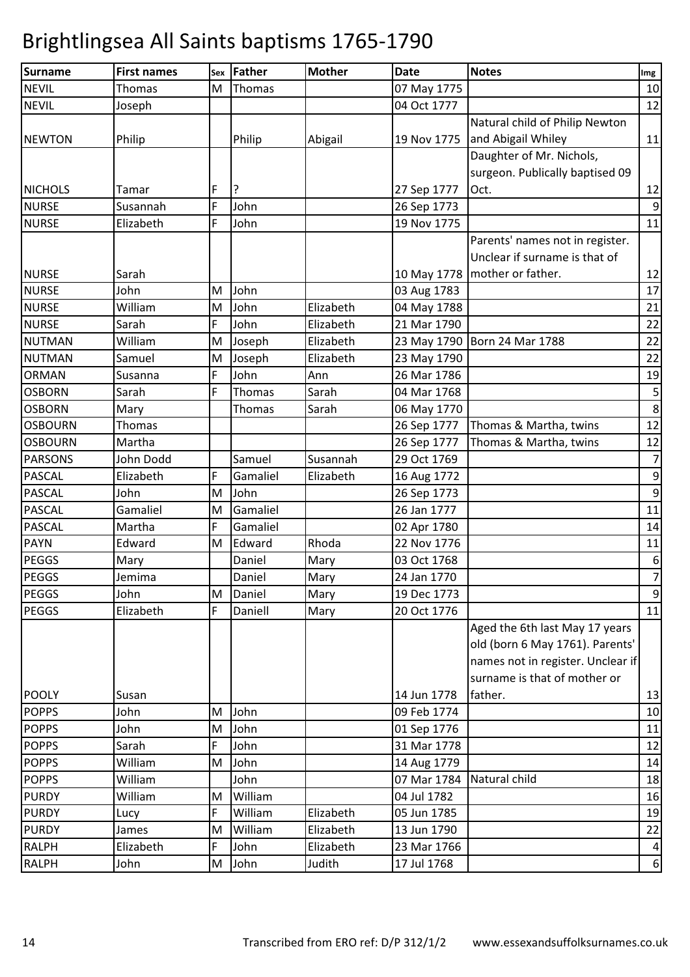| <b>Surname</b> | <b>First names</b> | Sex | <b>Father</b> | <b>Mother</b> | <b>Date</b> | <b>Notes</b>                      | Img              |
|----------------|--------------------|-----|---------------|---------------|-------------|-----------------------------------|------------------|
| <b>NEVIL</b>   | Thomas             | M   | Thomas        |               | 07 May 1775 |                                   | 10               |
| <b>NEVIL</b>   | Joseph             |     |               |               | 04 Oct 1777 |                                   | 12               |
|                |                    |     |               |               |             | Natural child of Philip Newton    |                  |
| <b>NEWTON</b>  | Philip             |     | Philip        | Abigail       | 19 Nov 1775 | and Abigail Whiley                | 11               |
|                |                    |     |               |               |             | Daughter of Mr. Nichols,          |                  |
|                |                    |     |               |               |             | surgeon. Publically baptised 09   |                  |
| <b>NICHOLS</b> | Tamar              | F   | <u>?</u>      |               | 27 Sep 1777 | Oct.                              | 12               |
| <b>NURSE</b>   | Susannah           | F   | John          |               | 26 Sep 1773 |                                   | $\overline{9}$   |
| <b>NURSE</b>   | Elizabeth          | F   | John          |               | 19 Nov 1775 |                                   | 11               |
|                |                    |     |               |               |             | Parents' names not in register.   |                  |
|                |                    |     |               |               |             | Unclear if surname is that of     |                  |
| <b>NURSE</b>   | Sarah              |     |               |               |             | 10 May 1778   mother or father.   | 12               |
| <b>NURSE</b>   | John               | M   | John          |               | 03 Aug 1783 |                                   | 17               |
| <b>NURSE</b>   | William            | M   | John          | Elizabeth     | 04 May 1788 |                                   | 21               |
| <b>NURSE</b>   | Sarah              | F   | John          | Elizabeth     | 21 Mar 1790 |                                   | 22               |
| <b>NUTMAN</b>  | William            | M   | Joseph        | Elizabeth     | 23 May 1790 | <b>Born 24 Mar 1788</b>           | 22               |
| <b>NUTMAN</b>  | Samuel             | M   | Joseph        | Elizabeth     | 23 May 1790 |                                   | 22               |
| <b>ORMAN</b>   | Susanna            | F   | John          | Ann           | 26 Mar 1786 |                                   | 19               |
| <b>OSBORN</b>  | Sarah              | F   | Thomas        | Sarah         | 04 Mar 1768 |                                   | $\mathsf S$      |
| <b>OSBORN</b>  | Mary               |     | Thomas        | Sarah         | 06 May 1770 |                                   | $\bf 8$          |
| <b>OSBOURN</b> | Thomas             |     |               |               | 26 Sep 1777 | Thomas & Martha, twins            | 12               |
| <b>OSBOURN</b> | Martha             |     |               |               | 26 Sep 1777 | Thomas & Martha, twins            | 12               |
| <b>PARSONS</b> | John Dodd          |     | Samuel        | Susannah      | 29 Oct 1769 |                                   | $\overline{7}$   |
| <b>PASCAL</b>  | Elizabeth          | F   | Gamaliel      | Elizabeth     | 16 Aug 1772 |                                   | $\mathsf 9$      |
| <b>PASCAL</b>  | John               | M   | John          |               | 26 Sep 1773 |                                   | $\boldsymbol{9}$ |
| <b>PASCAL</b>  | Gamaliel           | M   | Gamaliel      |               | 26 Jan 1777 |                                   | $11\,$           |
| <b>PASCAL</b>  | Martha             | F   | Gamaliel      |               | 02 Apr 1780 |                                   | 14               |
| <b>PAYN</b>    | Edward             | M   | Edward        | Rhoda         | 22 Nov 1776 |                                   | 11               |
| <b>PEGGS</b>   | Mary               |     | Daniel        | Mary          | 03 Oct 1768 |                                   | $\,6\,$          |
| <b>PEGGS</b>   | Jemima             |     | Daniel        | Mary          | 24 Jan 1770 |                                   | $\overline{7}$   |
| <b>PEGGS</b>   | John               | M   | Daniel        | Mary          | 19 Dec 1773 |                                   | $\boldsymbol{9}$ |
| <b>PEGGS</b>   | Elizabeth          | F   | Daniell       | Mary          | 20 Oct 1776 |                                   | 11               |
|                |                    |     |               |               |             | Aged the 6th last May 17 years    |                  |
|                |                    |     |               |               |             | old (born 6 May 1761). Parents'   |                  |
|                |                    |     |               |               |             | names not in register. Unclear if |                  |
|                |                    |     |               |               |             | surname is that of mother or      |                  |
| <b>POOLY</b>   | Susan              |     |               |               | 14 Jun 1778 | father.                           | 13               |
| <b>POPPS</b>   | John               | M   | John          |               | 09 Feb 1774 |                                   | 10               |
| <b>POPPS</b>   | John               | M   | John          |               | 01 Sep 1776 |                                   | 11               |
| <b>POPPS</b>   | Sarah              | F   | John          |               | 31 Mar 1778 |                                   | 12               |
| <b>POPPS</b>   | William            | M   | John          |               | 14 Aug 1779 |                                   | 14               |
| <b>POPPS</b>   | William            |     | John          |               | 07 Mar 1784 | Natural child                     | 18               |
| <b>PURDY</b>   | William            | M   | William       |               | 04 Jul 1782 |                                   | 16               |
| <b>PURDY</b>   | Lucy               | F   | William       | Elizabeth     | 05 Jun 1785 |                                   | 19               |
| <b>PURDY</b>   | James              | M   | William       | Elizabeth     | 13 Jun 1790 |                                   | 22               |
| <b>RALPH</b>   | Elizabeth          | F   | John          | Elizabeth     | 23 Mar 1766 |                                   | $\overline{4}$   |
| <b>RALPH</b>   | John               | M   | John          | Judith        | 17 Jul 1768 |                                   | $\boldsymbol{6}$ |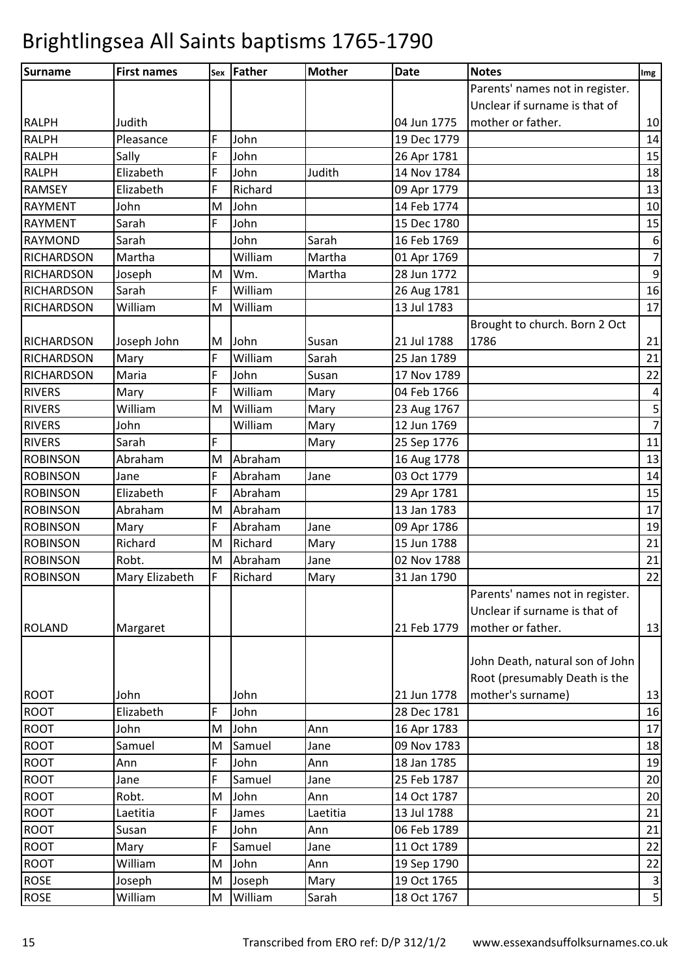| Surname           | <b>First names</b> | Sex | Father  | <b>Mother</b> | <b>Date</b> | <b>Notes</b>                    | Img              |
|-------------------|--------------------|-----|---------|---------------|-------------|---------------------------------|------------------|
|                   |                    |     |         |               |             | Parents' names not in register. |                  |
|                   |                    |     |         |               |             | Unclear if surname is that of   |                  |
| <b>RALPH</b>      | Judith             |     |         |               | 04 Jun 1775 | mother or father.               | 10               |
| <b>RALPH</b>      | Pleasance          | F   | John    |               | 19 Dec 1779 |                                 | 14               |
| <b>RALPH</b>      | Sally              | F   | John    |               | 26 Apr 1781 |                                 | 15               |
| <b>RALPH</b>      | Elizabeth          | F   | John    | Judith        | 14 Nov 1784 |                                 | 18               |
| <b>RAMSEY</b>     | Elizabeth          | F   | Richard |               | 09 Apr 1779 |                                 | 13               |
| <b>RAYMENT</b>    | John               | M   | John    |               | 14 Feb 1774 |                                 | 10               |
| <b>RAYMENT</b>    | Sarah              | F   | John    |               | 15 Dec 1780 |                                 | 15               |
| <b>RAYMOND</b>    | Sarah              |     | John    | Sarah         | 16 Feb 1769 |                                 | $\boldsymbol{6}$ |
| <b>RICHARDSON</b> | Martha             |     | William | Martha        | 01 Apr 1769 |                                 | $\overline{7}$   |
| <b>RICHARDSON</b> | Joseph             | M   | Wm.     | Martha        | 28 Jun 1772 |                                 | $\boldsymbol{9}$ |
| <b>RICHARDSON</b> | Sarah              | F   | William |               | 26 Aug 1781 |                                 | 16               |
| <b>RICHARDSON</b> | William            | M   | William |               | 13 Jul 1783 |                                 | 17               |
|                   |                    |     |         |               |             | Brought to church. Born 2 Oct   |                  |
| <b>RICHARDSON</b> | Joseph John        | M   | John    | Susan         | 21 Jul 1788 | 1786                            | 21               |
| <b>RICHARDSON</b> | Mary               | F   | William | Sarah         | 25 Jan 1789 |                                 | 21               |
| <b>RICHARDSON</b> | Maria              | F   | John    | Susan         | 17 Nov 1789 |                                 | 22               |
| <b>RIVERS</b>     | Mary               | F   | William | Mary          | 04 Feb 1766 |                                 | $\overline{4}$   |
| <b>RIVERS</b>     | William            | M   | William | Mary          | 23 Aug 1767 |                                 | $\overline{5}$   |
| <b>RIVERS</b>     | John               |     | William | Mary          | 12 Jun 1769 |                                 | $\overline{7}$   |
| <b>RIVERS</b>     | Sarah              | F   |         | Mary          | 25 Sep 1776 |                                 | 11               |
| <b>ROBINSON</b>   | Abraham            | M   | Abraham |               | 16 Aug 1778 |                                 | 13               |
| <b>ROBINSON</b>   | Jane               | F   | Abraham | Jane          | 03 Oct 1779 |                                 | 14               |
| <b>ROBINSON</b>   | Elizabeth          | F   | Abraham |               | 29 Apr 1781 |                                 | 15               |
| <b>ROBINSON</b>   | Abraham            | M   | Abraham |               | 13 Jan 1783 |                                 | 17               |
| <b>ROBINSON</b>   | Mary               | F   | Abraham | Jane          | 09 Apr 1786 |                                 | 19               |
| <b>ROBINSON</b>   | Richard            | M   | Richard | Mary          | 15 Jun 1788 |                                 | 21               |
| <b>ROBINSON</b>   | Robt.              | M   | Abraham | Jane          | 02 Nov 1788 |                                 | 21               |
| <b>ROBINSON</b>   | Mary Elizabeth     | F   | Richard | Mary          | 31 Jan 1790 |                                 | 22               |
|                   |                    |     |         |               |             | Parents' names not in register. |                  |
|                   |                    |     |         |               |             | Unclear if surname is that of   |                  |
| <b>ROLAND</b>     | Margaret           |     |         |               | 21 Feb 1779 | mother or father.               | 13               |
|                   |                    |     |         |               |             |                                 |                  |
|                   |                    |     |         |               |             | John Death, natural son of John |                  |
|                   |                    |     |         |               |             | Root (presumably Death is the   |                  |
| <b>ROOT</b>       | John               |     | John    |               | 21 Jun 1778 | mother's surname)               | 13               |
| <b>ROOT</b>       | Elizabeth          | F   | John    |               | 28 Dec 1781 |                                 | 16               |
| <b>ROOT</b>       | John               | M   | John    | Ann           | 16 Apr 1783 |                                 | 17               |
| <b>ROOT</b>       | Samuel             | M   | Samuel  | Jane          | 09 Nov 1783 |                                 | 18               |
| <b>ROOT</b>       | Ann                | F   | John    | Ann           | 18 Jan 1785 |                                 | 19               |
| <b>ROOT</b>       | Jane               | F   | Samuel  | Jane          | 25 Feb 1787 |                                 | 20               |
| <b>ROOT</b>       | Robt.              | M   | John    | Ann           | 14 Oct 1787 |                                 | 20               |
| <b>ROOT</b>       | Laetitia           | F   | James   | Laetitia      | 13 Jul 1788 |                                 | 21               |
| ROOT              | Susan              | F   | John    | Ann           | 06 Feb 1789 |                                 | 21               |
| <b>ROOT</b>       | Mary               | F   | Samuel  | Jane          | 11 Oct 1789 |                                 | 22               |
| <b>ROOT</b>       | William            | M   | John    | Ann           | 19 Sep 1790 |                                 | 22               |
| <b>ROSE</b>       | Joseph             | M   | Joseph  | Mary          | 19 Oct 1765 |                                 | $\mathbf{3}$     |
| <b>ROSE</b>       | William            | M   | William | Sarah         | 18 Oct 1767 |                                 | $\mathsf S$      |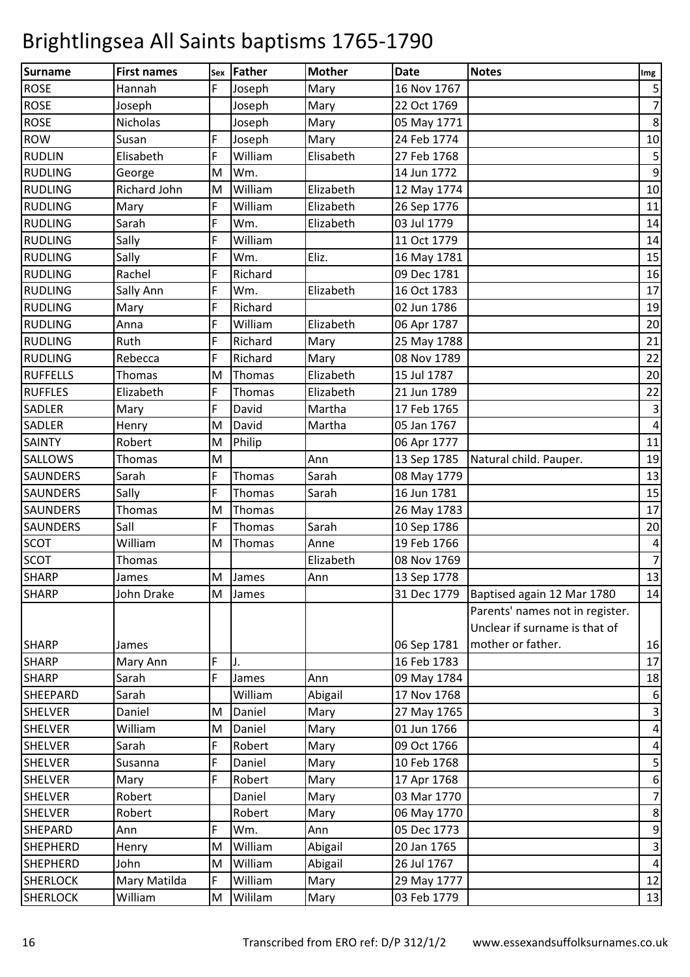| Surname         | <b>First names</b> | Sex | Father  | <b>Mother</b> | <b>Date</b> | <b>Notes</b>                    | Img                     |
|-----------------|--------------------|-----|---------|---------------|-------------|---------------------------------|-------------------------|
| <b>ROSE</b>     | Hannah             | F   | Joseph  | Mary          | 16 Nov 1767 |                                 | $\mathsf S$             |
| <b>ROSE</b>     | Joseph             |     | Joseph  | Mary          | 22 Oct 1769 |                                 | $\overline{7}$          |
| <b>ROSE</b>     | Nicholas           |     | Joseph  | Mary          | 05 May 1771 |                                 | $\bf 8$                 |
| <b>ROW</b>      | Susan              | F   | Joseph  | Mary          | 24 Feb 1774 |                                 | 10                      |
| <b>RUDLIN</b>   | Elisabeth          | F   | William | Elisabeth     | 27 Feb 1768 |                                 | $\mathsf S$             |
| <b>RUDLING</b>  | George             | M   | Wm.     |               | 14 Jun 1772 |                                 | $\boldsymbol{9}$        |
| <b>RUDLING</b>  | Richard John       | M   | William | Elizabeth     | 12 May 1774 |                                 | 10                      |
| <b>RUDLING</b>  | Mary               | F   | William | Elizabeth     | 26 Sep 1776 |                                 | 11                      |
| <b>RUDLING</b>  | Sarah              | F   | Wm.     | Elizabeth     | 03 Jul 1779 |                                 | 14                      |
| <b>RUDLING</b>  | Sally              | F   | William |               | 11 Oct 1779 |                                 | 14                      |
| <b>RUDLING</b>  | Sally              | F   | Wm.     | Eliz.         | 16 May 1781 |                                 | 15                      |
| <b>RUDLING</b>  | Rachel             | F   | Richard |               | 09 Dec 1781 |                                 | 16                      |
| <b>RUDLING</b>  | Sally Ann          | F   | Wm.     | Elizabeth     | 16 Oct 1783 |                                 | 17                      |
| <b>RUDLING</b>  | Mary               | F   | Richard |               | 02 Jun 1786 |                                 | 19                      |
| <b>RUDLING</b>  | Anna               | F   | William | Elizabeth     | 06 Apr 1787 |                                 | 20                      |
| <b>RUDLING</b>  | Ruth               | F   | Richard | Mary          | 25 May 1788 |                                 | 21                      |
| <b>RUDLING</b>  | Rebecca            | F   | Richard | Mary          | 08 Nov 1789 |                                 | 22                      |
| <b>RUFFELLS</b> | Thomas             | M   | Thomas  | Elizabeth     | 15 Jul 1787 |                                 | 20                      |
| <b>RUFFLES</b>  | Elizabeth          | F   | Thomas  | Elizabeth     | 21 Jun 1789 |                                 | 22                      |
| <b>SADLER</b>   | Mary               | F   | David   | Martha        | 17 Feb 1765 |                                 | $\mathbf{3}$            |
| <b>SADLER</b>   | Henry              | M   | David   | Martha        | 05 Jan 1767 |                                 | $\overline{\mathbf{4}}$ |
| <b>SAINTY</b>   | Robert             | M   | Philip  |               | 06 Apr 1777 |                                 | 11                      |
| <b>SALLOWS</b>  | Thomas             | M   |         | Ann           | 13 Sep 1785 | Natural child. Pauper.          | 19                      |
| <b>SAUNDERS</b> | Sarah              | F   | Thomas  | Sarah         | 08 May 1779 |                                 | 13                      |
| <b>SAUNDERS</b> | Sally              | F   | Thomas  | Sarah         | 16 Jun 1781 |                                 | 15                      |
| <b>SAUNDERS</b> | Thomas             | M   | Thomas  |               | 26 May 1783 |                                 | 17                      |
| <b>SAUNDERS</b> | Sall               | F   | Thomas  | Sarah         | 10 Sep 1786 |                                 | 20                      |
| <b>SCOT</b>     | William            | M   | Thomas  | Anne          | 19 Feb 1766 |                                 | $\pmb{4}$               |
| <b>SCOT</b>     | Thomas             |     |         | Elizabeth     | 08 Nov 1769 |                                 | $\overline{7}$          |
| <b>SHARP</b>    | James              |     | M James | Ann           | 13 Sep 1778 |                                 | $13\,$                  |
| <b>SHARP</b>    | John Drake         | M   | James   |               | 31 Dec 1779 | Baptised again 12 Mar 1780      | 14                      |
|                 |                    |     |         |               |             | Parents' names not in register. |                         |
|                 |                    |     |         |               |             | Unclear if surname is that of   |                         |
| <b>SHARP</b>    | James              |     |         |               | 06 Sep 1781 | mother or father.               | 16                      |
| <b>SHARP</b>    | Mary Ann           | F   | J.      |               | 16 Feb 1783 |                                 | 17                      |
| <b>SHARP</b>    | Sarah              | F   | James   | Ann           | 09 May 1784 |                                 | 18                      |
| SHEEPARD        | Sarah              |     | William | Abigail       | 17 Nov 1768 |                                 | 6                       |
| <b>SHELVER</b>  | Daniel             | M   | Daniel  | Mary          | 27 May 1765 |                                 | $\vert$ 3               |
| <b>SHELVER</b>  | William            | M   | Daniel  | Mary          | 01 Jun 1766 |                                 | $\overline{a}$          |
| <b>SHELVER</b>  | Sarah              | F   | Robert  | Mary          | 09 Oct 1766 |                                 | $\overline{a}$          |
| <b>SHELVER</b>  | Susanna            | F   | Daniel  | Mary          | 10 Feb 1768 |                                 | $\mathsf S$             |
| <b>SHELVER</b>  | Mary               | F   | Robert  | Mary          | 17 Apr 1768 |                                 | $\boldsymbol{6}$        |
| <b>SHELVER</b>  | Robert             |     | Daniel  | Mary          | 03 Mar 1770 |                                 | $\overline{7}$          |
| <b>SHELVER</b>  | Robert             |     | Robert  | Mary          | 06 May 1770 |                                 | $\bf 8$                 |
| <b>SHEPARD</b>  | Ann                | F   | Wm.     | Ann           | 05 Dec 1773 |                                 | $\overline{9}$          |
| <b>SHEPHERD</b> | Henry              | M   | William | Abigail       | 20 Jan 1765 |                                 | $\mathbf{3}$            |
| <b>SHEPHERD</b> | John               | M   | William | Abigail       | 26 Jul 1767 |                                 | $\vert 4 \vert$         |
| <b>SHERLOCK</b> | Mary Matilda       | F   | William | Mary          | 29 May 1777 |                                 | 12                      |
| <b>SHERLOCK</b> | William            | M   | Wililam | Mary          | 03 Feb 1779 |                                 | 13                      |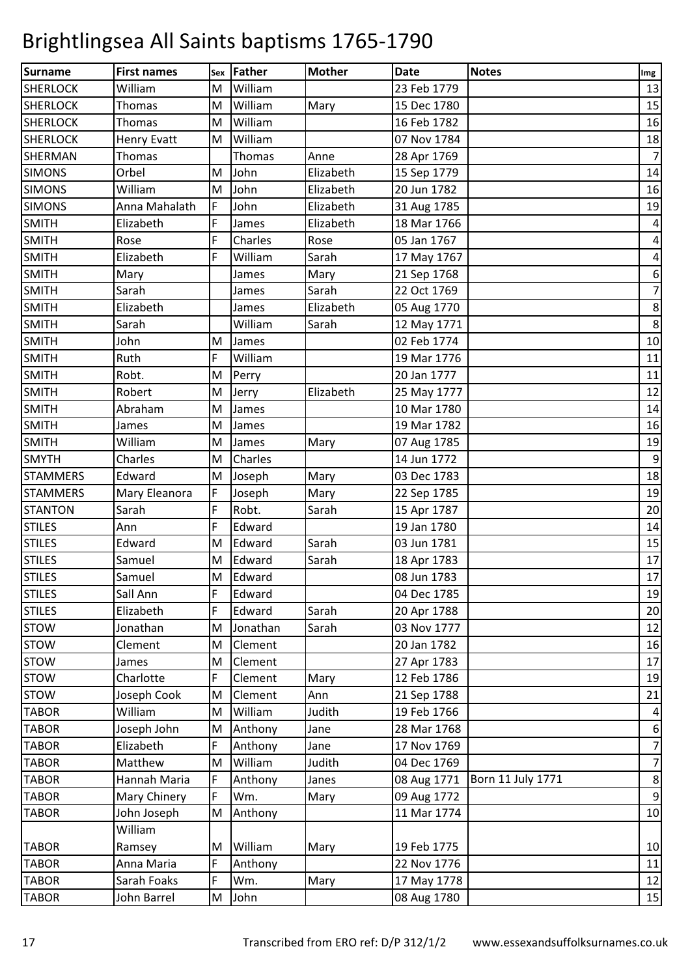| Surname         | <b>First names</b> | Sex         | <b>Father</b> | <b>Mother</b> | <b>Date</b> | <b>Notes</b>      | Img                     |
|-----------------|--------------------|-------------|---------------|---------------|-------------|-------------------|-------------------------|
| <b>SHERLOCK</b> | William            | M           | William       |               | 23 Feb 1779 |                   | 13                      |
| <b>SHERLOCK</b> | Thomas             | M           | William       | Mary          | 15 Dec 1780 |                   | 15                      |
| <b>SHERLOCK</b> | Thomas             | M           | William       |               | 16 Feb 1782 |                   | 16                      |
| <b>SHERLOCK</b> | <b>Henry Evatt</b> | M           | William       |               | 07 Nov 1784 |                   | $18\,$                  |
| <b>SHERMAN</b>  | Thomas             |             | Thomas        | Anne          | 28 Apr 1769 |                   | $\overline{7}$          |
| <b>SIMONS</b>   | Orbel              | M           | John          | Elizabeth     | 15 Sep 1779 |                   | 14                      |
| <b>SIMONS</b>   | William            | M           | John          | Elizabeth     | 20 Jun 1782 |                   | 16                      |
| <b>SIMONS</b>   | Anna Mahalath      | $\mathsf F$ | John          | Elizabeth     | 31 Aug 1785 |                   | 19                      |
| <b>SMITH</b>    | Elizabeth          | F           | James         | Elizabeth     | 18 Mar 1766 |                   | $\overline{\mathbf{4}}$ |
| <b>SMITH</b>    | Rose               | F           | Charles       | Rose          | 05 Jan 1767 |                   | $\pmb{4}$               |
| <b>SMITH</b>    | Elizabeth          | F           | William       | Sarah         | 17 May 1767 |                   | $\pmb{4}$               |
| <b>SMITH</b>    | Mary               |             | James         | Mary          | 21 Sep 1768 |                   | $\boldsymbol{6}$        |
| <b>SMITH</b>    | Sarah              |             | James         | Sarah         | 22 Oct 1769 |                   | $\overline{7}$          |
| <b>SMITH</b>    | Elizabeth          |             | James         | Elizabeth     | 05 Aug 1770 |                   | $\bf 8$                 |
| <b>SMITH</b>    | Sarah              |             | William       | Sarah         | 12 May 1771 |                   | $\bf 8$                 |
| <b>SMITH</b>    | John               | M           | James         |               | 02 Feb 1774 |                   | 10                      |
| <b>SMITH</b>    | Ruth               | F           | William       |               | 19 Mar 1776 |                   | 11                      |
| <b>SMITH</b>    | Robt.              | M           | Perry         |               | 20 Jan 1777 |                   | 11                      |
| <b>SMITH</b>    | Robert             | M           | Jerry         | Elizabeth     | 25 May 1777 |                   | 12                      |
| <b>SMITH</b>    | Abraham            | M           | James         |               | 10 Mar 1780 |                   | 14                      |
| <b>SMITH</b>    | James              | M           | James         |               | 19 Mar 1782 |                   | 16                      |
| <b>SMITH</b>    | William            | M           | James         | Mary          | 07 Aug 1785 |                   | 19                      |
| <b>SMYTH</b>    | Charles            | M           | Charles       |               | 14 Jun 1772 |                   | $\mathsf 9$             |
| <b>STAMMERS</b> | Edward             | M           | Joseph        | Mary          | 03 Dec 1783 |                   | 18                      |
| <b>STAMMERS</b> | Mary Eleanora      | F           | Joseph        | Mary          | 22 Sep 1785 |                   | 19                      |
| <b>STANTON</b>  | Sarah              | F           | Robt.         | Sarah         | 15 Apr 1787 |                   | 20                      |
| <b>STILES</b>   | Ann                | F           | Edward        |               | 19 Jan 1780 |                   | 14                      |
| <b>STILES</b>   | Edward             | M           | Edward        | Sarah         | 03 Jun 1781 |                   | 15                      |
| <b>STILES</b>   | Samuel             | M           | Edward        | Sarah         | 18 Apr 1783 |                   | 17                      |
| <b>STILES</b>   | Samuel             | M           | Edward        |               | 08 Jun 1783 |                   | $17\,$                  |
| <b>STILES</b>   | Sall Ann           | F           | Edward        |               | 04 Dec 1785 |                   | 19                      |
| <b>STILES</b>   | Elizabeth          | F           | Edward        | Sarah         | 20 Apr 1788 |                   | 20                      |
| <b>STOW</b>     | Jonathan           | M           | Jonathan      | Sarah         | 03 Nov 1777 |                   | 12                      |
| <b>STOW</b>     | Clement            | M           | Clement       |               | 20 Jan 1782 |                   | 16                      |
| <b>STOW</b>     | James              | M           | Clement       |               | 27 Apr 1783 |                   | 17                      |
| <b>STOW</b>     | Charlotte          | F           | Clement       | Mary          | 12 Feb 1786 |                   | 19                      |
| <b>STOW</b>     | Joseph Cook        | M           | Clement       | Ann           | 21 Sep 1788 |                   | 21                      |
| <b>TABOR</b>    | William            | M           | William       | Judith        | 19 Feb 1766 |                   | $\overline{a}$          |
| <b>TABOR</b>    | Joseph John        | M           | Anthony       | Jane          | 28 Mar 1768 |                   | 6                       |
| <b>TABOR</b>    | Elizabeth          | F           | Anthony       | Jane          | 17 Nov 1769 |                   | $\overline{7}$          |
| <b>TABOR</b>    | Matthew            | M           | William       | Judith        | 04 Dec 1769 |                   | $\overline{7}$          |
| <b>TABOR</b>    | Hannah Maria       | F           | Anthony       | Janes         | 08 Aug 1771 | Born 11 July 1771 | $\bf 8$                 |
| <b>TABOR</b>    | Mary Chinery       | $\mathsf F$ | Wm.           | Mary          | 09 Aug 1772 |                   | $\boldsymbol{9}$        |
| <b>TABOR</b>    | John Joseph        | M           | Anthony       |               | 11 Mar 1774 |                   | 10                      |
|                 | William            |             |               |               |             |                   |                         |
| <b>TABOR</b>    | Ramsey             | M           | William       | Mary          | 19 Feb 1775 |                   | 10                      |
| <b>TABOR</b>    | Anna Maria         | F           | Anthony       |               | 22 Nov 1776 |                   | 11                      |
| <b>TABOR</b>    | Sarah Foaks        | F           | Wm.           | Mary          | 17 May 1778 |                   | 12                      |
| <b>TABOR</b>    | John Barrel        | M           | John          |               | 08 Aug 1780 |                   | $15\,$                  |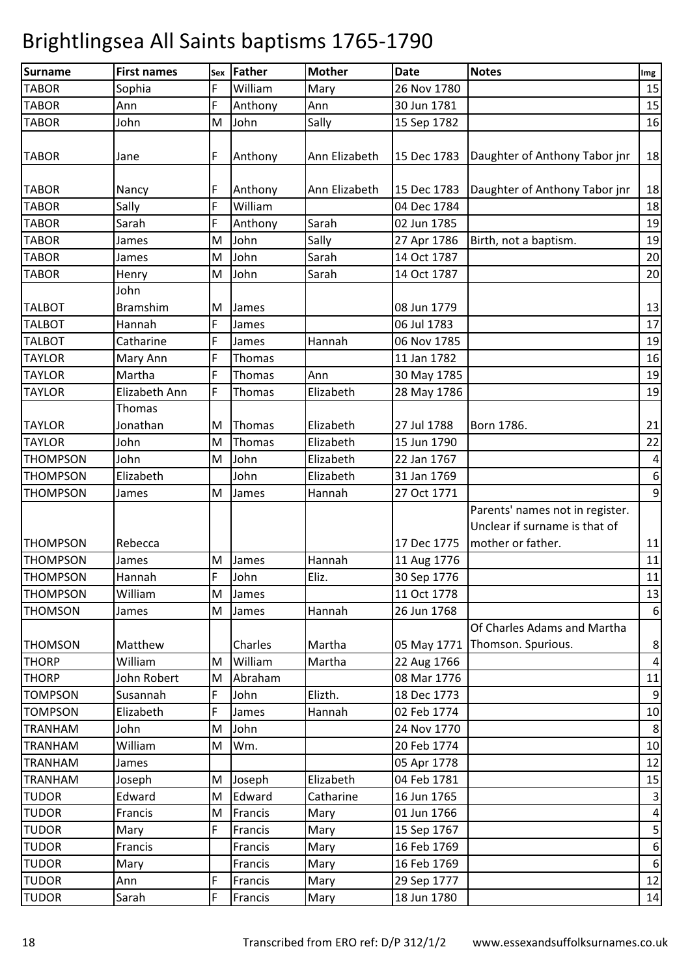| <b>Surname</b>  | <b>First names</b> | Sex | Father  | <b>Mother</b> | <b>Date</b> | <b>Notes</b>                     | Img                     |
|-----------------|--------------------|-----|---------|---------------|-------------|----------------------------------|-------------------------|
| <b>TABOR</b>    | Sophia             | F   | William | Mary          | 26 Nov 1780 |                                  | 15                      |
| <b>TABOR</b>    | Ann                | F   | Anthony | Ann           | 30 Jun 1781 |                                  | 15                      |
| <b>TABOR</b>    | John               | M   | John    | Sally         | 15 Sep 1782 |                                  | 16                      |
| <b>TABOR</b>    | Jane               | F   | Anthony | Ann Elizabeth | 15 Dec 1783 | Daughter of Anthony Tabor jnr    | 18                      |
|                 |                    |     |         |               |             |                                  |                         |
| <b>TABOR</b>    | Nancy              | F   | Anthony | Ann Elizabeth | 15 Dec 1783 | Daughter of Anthony Tabor jnr    | 18                      |
| <b>TABOR</b>    | Sally              | F   | William |               | 04 Dec 1784 |                                  | 18                      |
| <b>TABOR</b>    | Sarah              | F   | Anthony | Sarah         | 02 Jun 1785 |                                  | 19                      |
| <b>TABOR</b>    | James              | M   | John    | Sally         | 27 Apr 1786 | Birth, not a baptism.            | 19                      |
| <b>TABOR</b>    | James              | M   | John    | Sarah         | 14 Oct 1787 |                                  | 20                      |
| <b>TABOR</b>    | Henry              | M   | John    | Sarah         | 14 Oct 1787 |                                  | 20                      |
|                 | John               |     |         |               |             |                                  |                         |
| <b>TALBOT</b>   | <b>Bramshim</b>    | M   | James   |               | 08 Jun 1779 |                                  | 13                      |
| <b>TALBOT</b>   | Hannah             | F   | James   |               | 06 Jul 1783 |                                  | 17                      |
| <b>TALBOT</b>   | Catharine          | F   | James   | Hannah        | 06 Nov 1785 |                                  | 19                      |
| <b>TAYLOR</b>   | Mary Ann           | F   | Thomas  |               | 11 Jan 1782 |                                  | 16                      |
| <b>TAYLOR</b>   | Martha             | F   | Thomas  | Ann           | 30 May 1785 |                                  | 19                      |
| <b>TAYLOR</b>   | Elizabeth Ann      | F   | Thomas  | Elizabeth     | 28 May 1786 |                                  | 19                      |
|                 | Thomas             |     |         |               |             |                                  |                         |
| <b>TAYLOR</b>   | Jonathan           | M   | Thomas  | Elizabeth     | 27 Jul 1788 | Born 1786.                       | 21                      |
| <b>TAYLOR</b>   | John               | M   | Thomas  | Elizabeth     | 15 Jun 1790 |                                  | 22                      |
| <b>THOMPSON</b> | John               | M   | John    | Elizabeth     | 22 Jan 1767 |                                  | 4                       |
| <b>THOMPSON</b> | Elizabeth          |     | John    | Elizabeth     | 31 Jan 1769 |                                  | $\boldsymbol{6}$        |
| <b>THOMPSON</b> | James              | M   | James   | Hannah        | 27 Oct 1771 |                                  | $\overline{9}$          |
|                 |                    |     |         |               |             | Parents' names not in register.  |                         |
|                 |                    |     |         |               |             | Unclear if surname is that of    |                         |
| <b>THOMPSON</b> | Rebecca            |     |         |               | 17 Dec 1775 | mother or father.                | 11                      |
| <b>THOMPSON</b> | James              | M   | James   | Hannah        | 11 Aug 1776 |                                  | 11                      |
| <b>THOMPSON</b> | Hannah             | F   | John    | Eliz.         | 30 Sep 1776 |                                  | 11                      |
| <b>THOMPSON</b> | William            |     | M James |               | 11 Oct 1778 |                                  | 13                      |
| <b>THOMSON</b>  | James              | M   | James   | Hannah        | 26 Jun 1768 |                                  | $6 \overline{6}$        |
|                 |                    |     |         |               |             | Of Charles Adams and Martha      |                         |
| <b>THOMSON</b>  | Matthew            |     | Charles | Martha        |             | 05 May 1771   Thomson. Spurious. | $\bf 8$                 |
| <b>THORP</b>    | William            | M   | William | Martha        | 22 Aug 1766 |                                  | $\overline{a}$          |
| <b>THORP</b>    | John Robert        | M   | Abraham |               | 08 Mar 1776 |                                  | 11                      |
| <b>TOMPSON</b>  | Susannah           | F   | John    | Elizth.       | 18 Dec 1773 |                                  | 9                       |
| <b>TOMPSON</b>  | Elizabeth          | F   | James   | Hannah        | 02 Feb 1774 |                                  | $10\,$                  |
| <b>TRANHAM</b>  | John               | M   | John    |               | 24 Nov 1770 |                                  | 8                       |
| <b>TRANHAM</b>  | William            | M   | Wm.     |               | 20 Feb 1774 |                                  | 10                      |
| <b>TRANHAM</b>  | James              |     |         |               | 05 Apr 1778 |                                  | 12                      |
| <b>TRANHAM</b>  | Joseph             | M   | Joseph  | Elizabeth     | 04 Feb 1781 |                                  | 15                      |
| <b>TUDOR</b>    | Edward             | M   | Edward  | Catharine     | 16 Jun 1765 |                                  | $\mathsf 3$             |
| <b>TUDOR</b>    | Francis            | M   | Francis | Mary          | 01 Jun 1766 |                                  | $\overline{\mathbf{r}}$ |
| <b>TUDOR</b>    | Mary               | F   | Francis | Mary          | 15 Sep 1767 |                                  | $\mathsf S$             |
| <b>TUDOR</b>    | Francis            |     | Francis | Mary          | 16 Feb 1769 |                                  | $\boldsymbol{6}$        |
| <b>TUDOR</b>    | Mary               |     | Francis | Mary          | 16 Feb 1769 |                                  | 6                       |
| <b>TUDOR</b>    | Ann                | F   | Francis | Mary          | 29 Sep 1777 |                                  | 12                      |
| <b>TUDOR</b>    | Sarah              | F   | Francis | Mary          | 18 Jun 1780 |                                  | 14                      |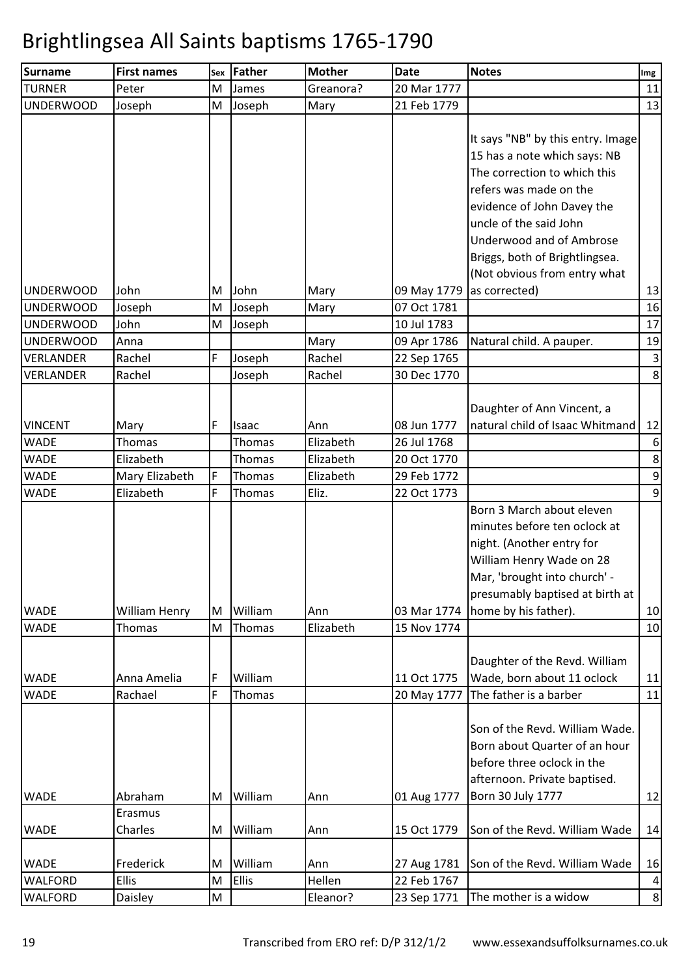| <b>Surname</b>             | <b>First names</b>          | Sex    | <b>Father</b>     | <b>Mother</b>      | <b>Date</b>                | <b>Notes</b>                                                                                                                                                                                                                                                                                              | Img                                |
|----------------------------|-----------------------------|--------|-------------------|--------------------|----------------------------|-----------------------------------------------------------------------------------------------------------------------------------------------------------------------------------------------------------------------------------------------------------------------------------------------------------|------------------------------------|
| <b>TURNER</b>              | Peter                       | M      | James             | Greanora?          | 20 Mar 1777                |                                                                                                                                                                                                                                                                                                           | 11                                 |
| UNDERWOOD                  | Joseph                      | M      | Joseph            | Mary               | 21 Feb 1779                |                                                                                                                                                                                                                                                                                                           | 13                                 |
| <b>UNDERWOOD</b>           | John                        | M      | John              | Mary               | 09 May 1779                | It says "NB" by this entry. Image<br>15 has a note which says: NB<br>The correction to which this<br>refers was made on the<br>evidence of John Davey the<br>uncle of the said John<br><b>Underwood and of Ambrose</b><br>Briggs, both of Brightlingsea.<br>(Not obvious from entry what<br>as corrected) | 13                                 |
| <b>UNDERWOOD</b>           | Joseph                      | M      | Joseph            | Mary               | 07 Oct 1781                |                                                                                                                                                                                                                                                                                                           | 16                                 |
| <b>UNDERWOOD</b>           | John                        | M      | Joseph            |                    | 10 Jul 1783                |                                                                                                                                                                                                                                                                                                           | 17                                 |
| <b>UNDERWOOD</b>           | Anna                        |        |                   | Mary               | 09 Apr 1786                | Natural child. A pauper.                                                                                                                                                                                                                                                                                  | 19                                 |
| <b>VERLANDER</b>           | Rachel                      | F      | Joseph            | Rachel             | 22 Sep 1765                |                                                                                                                                                                                                                                                                                                           | $\overline{3}$                     |
| <b>VERLANDER</b>           | Rachel                      |        | Joseph            | Rachel             | 30 Dec 1770                |                                                                                                                                                                                                                                                                                                           | $\,8\,$                            |
|                            |                             |        |                   |                    |                            | Daughter of Ann Vincent, a                                                                                                                                                                                                                                                                                |                                    |
| <b>VINCENT</b>             | Mary                        | F      | Isaac             | Ann                | 08 Jun 1777                | natural child of Isaac Whitmand                                                                                                                                                                                                                                                                           | 12                                 |
| <b>WADE</b>                | Thomas                      |        | Thomas            | Elizabeth          | 26 Jul 1768                |                                                                                                                                                                                                                                                                                                           | $\boldsymbol{6}$                   |
| <b>WADE</b>                | Elizabeth                   |        | Thomas            | Elizabeth          | 20 Oct 1770                |                                                                                                                                                                                                                                                                                                           | $\bf 8$                            |
| <b>WADE</b><br><b>WADE</b> | Mary Elizabeth<br>Elizabeth | F<br>F | Thomas<br>Thomas  | Elizabeth<br>Eliz. | 29 Feb 1772<br>22 Oct 1773 |                                                                                                                                                                                                                                                                                                           | $\boldsymbol{9}$<br>$\overline{9}$ |
| <b>WADE</b>                | William Henry               | M      | William           | Ann                | 03 Mar 1774                | Born 3 March about eleven<br>minutes before ten oclock at<br>night. (Another entry for<br>William Henry Wade on 28<br>Mar, 'brought into church' -<br>presumably baptised at birth at<br>home by his father).                                                                                             | 10                                 |
| <b>WADE</b>                | Thomas                      | M      | Thomas            | Elizabeth          | 15 Nov 1774                |                                                                                                                                                                                                                                                                                                           | 10                                 |
| <b>WADE</b><br><b>WADE</b> | Anna Amelia<br>Rachael      | F<br>F | William<br>Thomas |                    | 11 Oct 1775<br>20 May 1777 | Daughter of the Revd. William<br>Wade, born about 11 oclock<br>The father is a barber                                                                                                                                                                                                                     | 11<br>11                           |
| <b>WADE</b>                | Abraham                     | M      | William           | Ann                | 01 Aug 1777                | Son of the Revd. William Wade.<br>Born about Quarter of an hour<br>before three oclock in the<br>afternoon. Private baptised.<br>Born 30 July 1777                                                                                                                                                        | 12                                 |
|                            | Erasmus                     |        |                   |                    |                            |                                                                                                                                                                                                                                                                                                           |                                    |
| <b>WADE</b>                | Charles                     | M      | William           | Ann                | 15 Oct 1779                | Son of the Revd. William Wade                                                                                                                                                                                                                                                                             | 14                                 |
|                            |                             |        |                   |                    |                            |                                                                                                                                                                                                                                                                                                           |                                    |
| <b>WADE</b>                | Frederick                   | M      | William           | Ann                | 27 Aug 1781                | Son of the Revd. William Wade                                                                                                                                                                                                                                                                             | 16                                 |
| <b>WALFORD</b>             | <b>Ellis</b>                | M      | Ellis             | Hellen             | 22 Feb 1767                |                                                                                                                                                                                                                                                                                                           | $\overline{4}$                     |
| <b>WALFORD</b>             | Daisley                     | M      |                   | Eleanor?           | 23 Sep 1771                | The mother is a widow                                                                                                                                                                                                                                                                                     | 8                                  |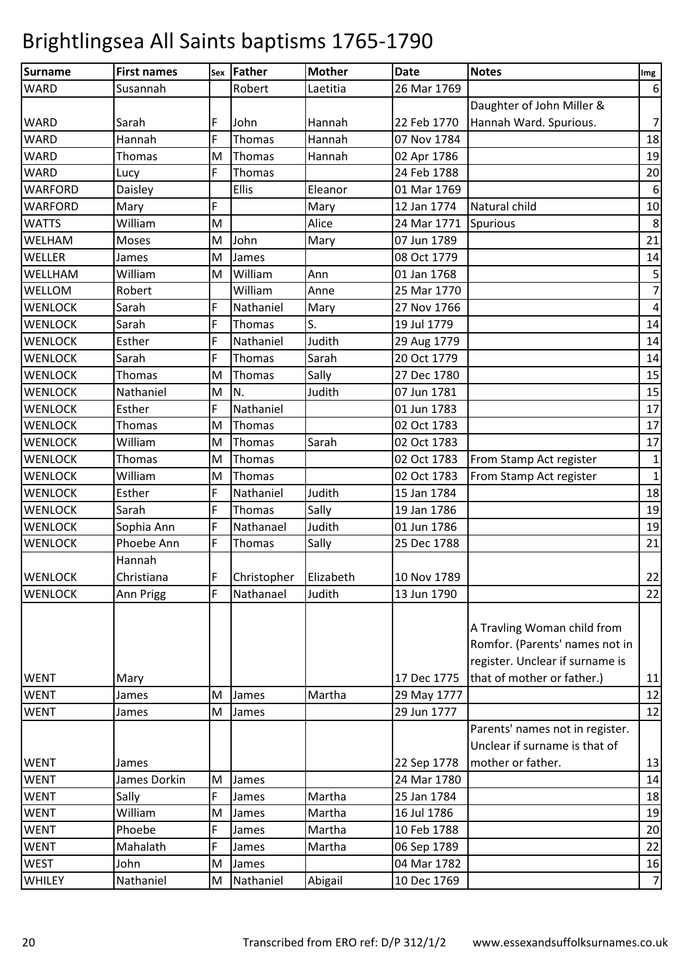| Surname        | <b>First names</b> |   | sex   Father          | <b>Mother</b> | <b>Date</b> | <b>Notes</b>                    | Img              |
|----------------|--------------------|---|-----------------------|---------------|-------------|---------------------------------|------------------|
| <b>WARD</b>    | Susannah           |   | Robert                | Laetitia      | 26 Mar 1769 |                                 | $\boldsymbol{6}$ |
|                |                    |   |                       |               |             | Daughter of John Miller &       |                  |
| <b>WARD</b>    | Sarah              | F | John                  | Hannah        | 22 Feb 1770 | Hannah Ward. Spurious.          | $\overline{7}$   |
| <b>WARD</b>    | Hannah             | F | Thomas                | Hannah        | 07 Nov 1784 |                                 | 18               |
| <b>WARD</b>    | Thomas             | M | Thomas                | Hannah        | 02 Apr 1786 |                                 | 19               |
| <b>WARD</b>    | Lucy               | F | Thomas                |               | 24 Feb 1788 |                                 | 20               |
| <b>WARFORD</b> | Daisley            |   | Ellis                 | Eleanor       | 01 Mar 1769 |                                 | $\,$ 6 $\,$      |
| <b>WARFORD</b> | Mary               | F |                       | Mary          | 12 Jan 1774 | Natural child                   | 10               |
| <b>WATTS</b>   | William            | M |                       | Alice         | 24 Mar 1771 | Spurious                        | 8                |
| WELHAM         | Moses              | M | John                  | Mary          | 07 Jun 1789 |                                 | 21               |
| WELLER         | James              | M | James                 |               | 08 Oct 1779 |                                 | 14               |
| <b>WELLHAM</b> | William            | M | William               | Ann           | 01 Jan 1768 |                                 | $\mathsf S$      |
| WELLOM         | Robert             |   | William               | Anne          | 25 Mar 1770 |                                 | $\overline{7}$   |
| <b>WENLOCK</b> | Sarah              | F | Nathaniel             | Mary          | 27 Nov 1766 |                                 | $\sqrt{4}$       |
| <b>WENLOCK</b> | Sarah              | F | Thomas                | S.            | 19 Jul 1779 |                                 | 14               |
| <b>WENLOCK</b> | Esther             | F | Nathaniel             | Judith        | 29 Aug 1779 |                                 | 14               |
| <b>WENLOCK</b> | Sarah              | F | Thomas                | Sarah         | 20 Oct 1779 |                                 | 14               |
| <b>WENLOCK</b> | Thomas             | M | Thomas                | Sally         | 27 Dec 1780 |                                 | 15               |
| <b>WENLOCK</b> | Nathaniel          | M | N.                    | Judith        | 07 Jun 1781 |                                 | 15               |
| <b>WENLOCK</b> | Esther             | F | Nathaniel             |               | 01 Jun 1783 |                                 | 17               |
| <b>WENLOCK</b> | Thomas             | M | Thomas                |               | 02 Oct 1783 |                                 | 17               |
| <b>WENLOCK</b> | William            | M | Thomas                | Sarah         | 02 Oct 1783 |                                 | 17               |
| <b>WENLOCK</b> | Thomas             | M | Thomas                |               | 02 Oct 1783 | From Stamp Act register         | $\mathbf{1}$     |
| <b>WENLOCK</b> | William            | M | Thomas                |               | 02 Oct 1783 | From Stamp Act register         | $\mathbf 1$      |
| <b>WENLOCK</b> | Esther             | F | Nathaniel             | Judith        | 15 Jan 1784 |                                 | 18               |
| <b>WENLOCK</b> | Sarah              | F | Thomas                | Sally         | 19 Jan 1786 |                                 | 19               |
| <b>WENLOCK</b> | Sophia Ann         | F | Nathanael             | Judith        | 01 Jun 1786 |                                 | 19               |
| <b>WENLOCK</b> | Phoebe Ann         | F | Thomas                | Sally         | 25 Dec 1788 |                                 | 21               |
|                | Hannah             |   |                       |               |             |                                 |                  |
| <b>WENLOCK</b> | Christiana         | F | Christopher Elizabeth |               | 10 Nov 1789 |                                 | 22               |
| <b>WENLOCK</b> | Ann Prigg          | F | Nathanael             | Judith        | 13 Jun 1790 |                                 | 22               |
|                |                    |   |                       |               |             |                                 |                  |
|                |                    |   |                       |               |             | A Travling Woman child from     |                  |
|                |                    |   |                       |               |             | Romfor. (Parents' names not in  |                  |
|                |                    |   |                       |               |             | register. Unclear if surname is |                  |
| <b>WENT</b>    | Mary               |   |                       |               | 17 Dec 1775 | that of mother or father.)      | 11               |
| <b>WENT</b>    | James              | M | James                 | Martha        | 29 May 1777 |                                 | 12               |
| <b>WENT</b>    | James              | M | James                 |               | 29 Jun 1777 |                                 | 12               |
|                |                    |   |                       |               |             | Parents' names not in register. |                  |
|                |                    |   |                       |               |             | Unclear if surname is that of   |                  |
| <b>WENT</b>    | James              |   |                       |               | 22 Sep 1778 | mother or father.               | 13               |
| <b>WENT</b>    | James Dorkin       | M | James                 |               | 24 Mar 1780 |                                 | 14               |
| <b>WENT</b>    | Sally              | F | James                 | Martha        | 25 Jan 1784 |                                 | 18               |
| <b>WENT</b>    | William            | M | James                 | Martha        | 16 Jul 1786 |                                 | 19               |
| <b>WENT</b>    | Phoebe             | F | James                 | Martha        | 10 Feb 1788 |                                 | 20               |
| <b>WENT</b>    | Mahalath           | F | James                 | Martha        | 06 Sep 1789 |                                 | 22               |
| <b>WEST</b>    | John               | M | James                 |               | 04 Mar 1782 |                                 | 16               |
| <b>WHILEY</b>  | Nathaniel          | M | Nathaniel             | Abigail       | 10 Dec 1769 |                                 | $\overline{7}$   |